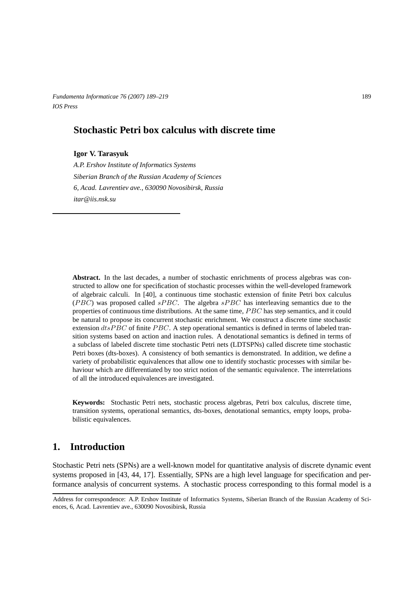*Fundamenta Informaticae 76 (2007) 189–219* 189 *IOS Press*

# **Stochastic Petri box calculus with discrete time**

### **Igor V. Tarasyuk**

*A.P. Ershov Institute of Informatics Systems Siberian Branch of the Russian Academy of Sciences 6, Acad. Lavrentiev ave., 630090 Novosibirsk, Russia itar@iis.nsk.su*

**Abstract.** In the last decades, a number of stochastic enrichments of process algebras was constructed to allow one for specification of stochastic processes within the well-developed framework of algebraic calculi. In [40], a continuous time stochastic extension of finite Petri box calculus (PBC) was proposed called  $sPBC$ . The algebra  $sPBC$  has interleaving semantics due to the properties of continuous time distributions. At the same time, *PBC* has step semantics, and it could be natural to propose its concurrent stochastic enrichment. We construct a discrete time stochastic extension  $dtsPBC$  of finite PBC. A step operational semantics is defined in terms of labeled transition systems based on action and inaction rules. A denotational semantics is defined in terms of a subclass of labeled discrete time stochastic Petri nets (LDTSPNs) called discrete time stochastic Petri boxes (dts-boxes). A consistency of both semantics is demonstrated. In addition, we define a variety of probabilistic equivalences that allow one to identify stochastic processes with similar behaviour which are differentiated by too strict notion of the semantic equivalence. The interrelations of all the introduced equivalences are investigated.

**Keywords:** Stochastic Petri nets, stochastic process algebras, Petri box calculus, discrete time, transition systems, operational semantics, dts-boxes, denotational semantics, empty loops, probabilistic equivalences.

# **1. Introduction**

Stochastic Petri nets (SPNs) are a well-known model for quantitative analysis of discrete dynamic event systems proposed in [43, 44, 17]. Essentially, SPNs are a high level language for specification and performance analysis of concurrent systems. A stochastic process corresponding to this formal model is a

Address for correspondence: A.P. Ershov Institute of Informatics Systems, Siberian Branch of the Russian Academy of Sciences, 6, Acad. Lavrentiev ave., 630090 Novosibirsk, Russia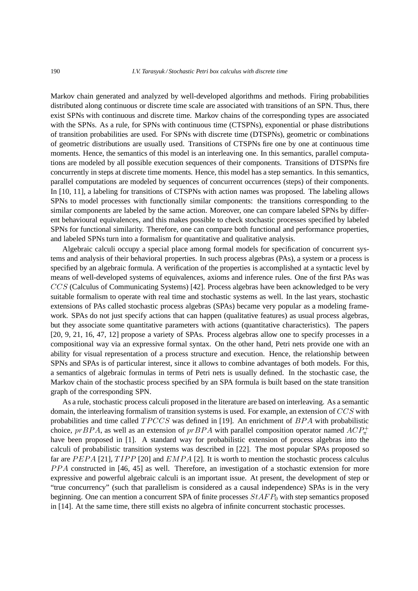Markov chain generated and analyzed by well-developed algorithms and methods. Firing probabilities distributed along continuous or discrete time scale are associated with transitions of an SPN. Thus, there exist SPNs with continuous and discrete time. Markov chains of the corresponding types are associated with the SPNs. As a rule, for SPNs with continuous time (CTSPNs), exponential or phase distributions of transition probabilities are used. For SPNs with discrete time (DTSPNs), geometric or combinations of geometric distributions are usually used. Transitions of CTSPNs fire one by one at continuous time moments. Hence, the semantics of this model is an interleaving one. In this semantics, parallel computations are modeled by all possible execution sequences of their components. Transitions of DTSPNs fire concurrently in steps at discrete time moments. Hence, this model has a step semantics. In this semantics, parallel computations are modeled by sequences of concurrent occurrences (steps) of their components. In [10, 11], a labeling for transitions of CTSPNs with action names was proposed. The labeling allows SPNs to model processes with functionally similar components: the transitions corresponding to the similar components are labeled by the same action. Moreover, one can compare labeled SPNs by different behavioural equivalences, and this makes possible to check stochastic processes specified by labeled SPNs for functional similarity. Therefore, one can compare both functional and performance properties, and labeled SPNs turn into a formalism for quantitative and qualitative analysis.

Algebraic calculi occupy a special place among formal models for specification of concurrent systems and analysis of their behavioral properties. In such process algebras (PAs), a system or a process is specified by an algebraic formula. A verification of the properties is accomplished at a syntactic level by means of well-developed systems of equivalences, axioms and inference rules. One of the first PAs was CCS (Calculus of Communicating Systems) [42]. Process algebras have been acknowledged to be very suitable formalism to operate with real time and stochastic systems as well. In the last years, stochastic extensions of PAs called stochastic process algebras (SPAs) became very popular as a modeling framework. SPAs do not just specify actions that can happen (qualitative features) as usual process algebras, but they associate some quantitative parameters with actions (quantitative characteristics). The papers [20, 9, 21, 16, 47, 12] propose a variety of SPAs. Process algebras allow one to specify processes in a compositional way via an expressive formal syntax. On the other hand, Petri nets provide one with an ability for visual representation of a process structure and execution. Hence, the relationship between SPNs and SPAs is of particular interest, since it allows to combine advantages of both models. For this, a semantics of algebraic formulas in terms of Petri nets is usually defined. In the stochastic case, the Markov chain of the stochastic process specified by an SPA formula is built based on the state transition graph of the corresponding SPN.

As a rule, stochastic process calculi proposed in the literature are based on interleaving. As a semantic domain, the interleaving formalism of transition systems is used. For example, an extension of CCS with probabilities and time called  $TPCCS$  was defined in [19]. An enrichment of  $BPA$  with probabilistic choice,  $prBPA$ , as well as an extension of  $prBPA$  with parallel composition operator named  $ACP_{\pi}^+$ have been proposed in [1]. A standard way for probabilistic extension of process algebras into the calculi of probabilistic transition systems was described in [22]. The most popular SPAs proposed so far are PEPA [21],  $TIPP$  [20] and  $EMPA$  [2]. It is worth to mention the stochastic process calculus PPA constructed in [46, 45] as well. Therefore, an investigation of a stochastic extension for more expressive and powerful algebraic calculi is an important issue. At present, the development of step or "true concurrency" (such that parallelism is considered as a causal independence) SPAs is in the very beginning. One can mention a concurrent SPA of finite processes  $StAFP_0$  with step semantics proposed in [14]. At the same time, there still exists no algebra of infinite concurrent stochastic processes.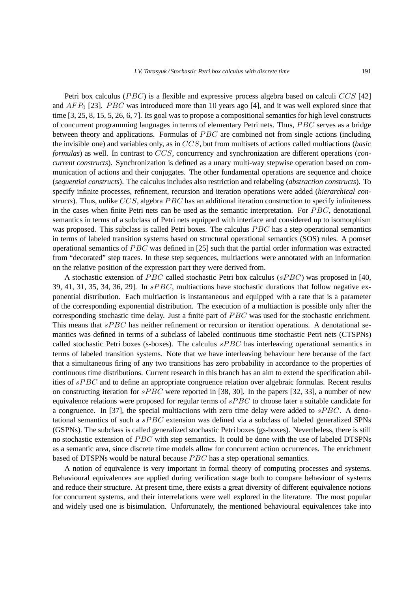Petri box calculus ( $PBC$ ) is a flexible and expressive process algebra based on calculi  $CCS$  [42] and  $AFP_0$  [23]. *PBC* was introduced more than 10 years ago [4], and it was well explored since that time [3, 25, 8, 15, 5, 26, 6, 7]. Its goal was to propose a compositional semantics for high level constructs of concurrent programming languages in terms of elementary Petri nets. Thus, PBC serves as a bridge between theory and applications. Formulas of PBC are combined not from single actions (including the invisible one) and variables only, as in CCS, but from multisets of actions called multiactions (*basic formulas*) as well. In contrast to CCS, concurrency and synchronization are different operations (*concurrent constructs*). Synchronization is defined as a unary multi-way stepwise operation based on communication of actions and their conjugates. The other fundamental operations are sequence and choice (*sequential constructs*). The calculus includes also restriction and relabeling (*abstraction constructs*). To specify infinite processes, refinement, recursion and iteration operations were added (*hierarchical constructs*). Thus, unlike CCS, algebra PBC has an additional iteration construction to specify infiniteness in the cases when finite Petri nets can be used as the semantic interpretation. For  $PBC$ , denotational semantics in terms of a subclass of Petri nets equipped with interface and considered up to isomorphism was proposed. This subclass is called Petri boxes. The calculus *PBC* has a step operational semantics in terms of labeled transition systems based on structural operational semantics (SOS) rules. A pomset operational semantics of  $PBC$  was defined in [25] such that the partial order information was extracted from "decorated" step traces. In these step sequences, multiactions were annotated with an information on the relative position of the expression part they were derived from.

A stochastic extension of *PBC* called stochastic Petri box calculus ( $sPBC$ ) was proposed in [40, 39, 41, 31, 35, 34, 36, 29]. In  $sPBC$ , multiactions have stochastic durations that follow negative exponential distribution. Each multiaction is instantaneous and equipped with a rate that is a parameter of the corresponding exponential distribution. The execution of a multiaction is possible only after the corresponding stochastic time delay. Just a finite part of *PBC* was used for the stochastic enrichment. This means that  $sPBC$  has neither refinement or recursion or iteration operations. A denotational semantics was defined in terms of a subclass of labeled continuous time stochastic Petri nets (CTSPNs) called stochastic Petri boxes (s-boxes). The calculus  $sPBC$  has interleaving operational semantics in terms of labeled transition systems. Note that we have interleaving behaviour here because of the fact that a simultaneous firing of any two transitions has zero probability in accordance to the properties of continuous time distributions. Current research in this branch has an aim to extend the specification abilities of  $sPBC$  and to define an appropriate congruence relation over algebraic formulas. Recent results on constructing iteration for  $sPBC$  were reported in [38, 30]. In the papers [32, 33], a number of new equivalence relations were proposed for regular terms of  $sPBC$  to choose later a suitable candidate for a congruence. In [37], the special multiactions with zero time delay were added to  $sPBC$ . A denotational semantics of such a  $sPBC$  extension was defined via a subclass of labeled generalized SPNs (GSPNs). The subclass is called generalized stochastic Petri boxes (gs-boxes). Nevertheless, there is still no stochastic extension of *PBC* with step semantics. It could be done with the use of labeled DTSPNs as a semantic area, since discrete time models allow for concurrent action occurrences. The enrichment based of DTSPNs would be natural because  $PBC$  has a step operational semantics.

A notion of equivalence is very important in formal theory of computing processes and systems. Behavioural equivalences are applied during verification stage both to compare behaviour of systems and reduce their structure. At present time, there exists a great diversity of different equivalence notions for concurrent systems, and their interrelations were well explored in the literature. The most popular and widely used one is bisimulation. Unfortunately, the mentioned behavioural equivalences take into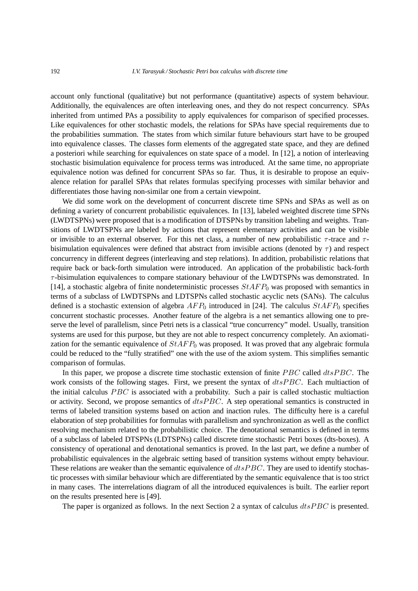account only functional (qualitative) but not performance (quantitative) aspects of system behaviour. Additionally, the equivalences are often interleaving ones, and they do not respect concurrency. SPAs inherited from untimed PAs a possibility to apply equivalences for comparison of specified processes. Like equivalences for other stochastic models, the relations for SPAs have special requirements due to the probabilities summation. The states from which similar future behaviours start have to be grouped into equivalence classes. The classes form elements of the aggregated state space, and they are defined a posteriori while searching for equivalences on state space of a model. In [12], a notion of interleaving stochastic bisimulation equivalence for process terms was introduced. At the same time, no appropriate equivalence notion was defined for concurrent SPAs so far. Thus, it is desirable to propose an equivalence relation for parallel SPAs that relates formulas specifying processes with similar behavior and differentiates those having non-similar one from a certain viewpoint.

We did some work on the development of concurrent discrete time SPNs and SPAs as well as on defining a variety of concurrent probabilistic equivalences. In [13], labeled weighted discrete time SPNs (LWDTSPNs) were proposed that is a modification of DTSPNs by transition labeling and weights. Transitions of LWDTSPNs are labeled by actions that represent elementary activities and can be visible or invisible to an external observer. For this net class, a number of new probabilistic  $\tau$ -trace and  $\tau$ bisimulation equivalences were defined that abstract from invisible actions (denoted by  $\tau$ ) and respect concurrency in different degrees (interleaving and step relations). In addition, probabilistic relations that require back or back-forth simulation were introduced. An application of the probabilistic back-forth  $\tau$ -bisimulation equivalences to compare stationary behaviour of the LWDTSPNs was demonstrated. In [14], a stochastic algebra of finite nondeterministic processes  $StAFP_0$  was proposed with semantics in terms of a subclass of LWDTSPNs and LDTSPNs called stochastic acyclic nets (SANs). The calculus defined is a stochastic extension of algebra  $AFP_0$  introduced in [24]. The calculus  $StAFP_0$  specifies concurrent stochastic processes. Another feature of the algebra is a net semantics allowing one to preserve the level of parallelism, since Petri nets is a classical "true concurrency" model. Usually, transition systems are used for this purpose, but they are not able to respect concurrency completely. An axiomatization for the semantic equivalence of  $StAFP_0$  was proposed. It was proved that any algebraic formula could be reduced to the "fully stratified" one with the use of the axiom system. This simplifies semantic comparison of formulas.

In this paper, we propose a discrete time stochastic extension of finite  $PBC$  called  $dtsPBC$ . The work consists of the following stages. First, we present the syntax of  $dtsPBC$ . Each multiaction of the initial calculus  $PBC$  is associated with a probability. Such a pair is called stochastic multiaction or activity. Second, we propose semantics of  $dtsPBC$ . A step operational semantics is constructed in terms of labeled transition systems based on action and inaction rules. The difficulty here is a careful elaboration of step probabilities for formulas with parallelism and synchronization as well as the conflict resolving mechanism related to the probabilistic choice. The denotational semantics is defined in terms of a subclass of labeled DTSPNs (LDTSPNs) called discrete time stochastic Petri boxes (dts-boxes). A consistency of operational and denotational semantics is proved. In the last part, we define a number of probabilistic equivalences in the algebraic setting based of transition systems without empty behaviour. These relations are weaker than the semantic equivalence of  $dtsPBC$ . They are used to identify stochastic processes with similar behaviour which are differentiated by the semantic equivalence that is too strict in many cases. The interrelations diagram of all the introduced equivalences is built. The earlier report on the results presented here is [49].

The paper is organized as follows. In the next Section 2 a syntax of calculus  $dt s P B C$  is presented.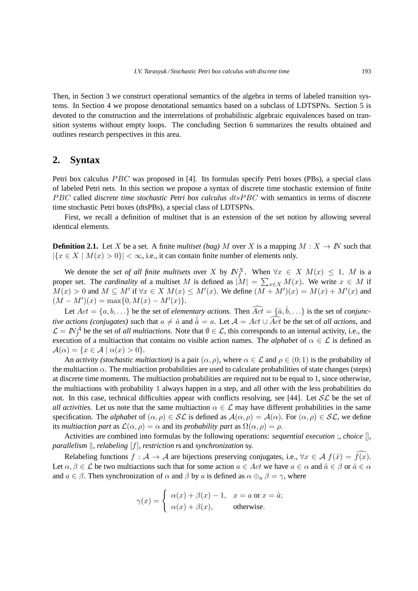Then, in Section 3 we construct operational semantics of the algebra in terms of labeled transition systems. In Section 4 we propose denotational semantics based on a subclass of LDTSPNs. Section 5 is devoted to the construction and the interrelations of probabilistic algebraic equivalences based on transition systems without empty loops. The concluding Section 6 summarizes the results obtained and outlines research perspectives in this area.

# **2. Syntax**

Petri box calculus *PBC* was proposed in [4]. Its formulas specify Petri boxes (PBs), a special class of labeled Petri nets. In this section we propose a syntax of discrete time stochastic extension of finite PBC called *discrete time stochastic Petri box calculus* dtsPBC with semantics in terms of discrete time stochastic Petri boxes (dtsPBs), a special class of LDTSPNs.

First, we recall a definition of multiset that is an extension of the set notion by allowing several identical elements.

**Definition 2.1.** Let X be a set. A finite *multiset (bag)* M over X is a mapping  $M : X \to \mathbb{N}$  such that  $|\{x \in X \mid M(x) > 0\}| < \infty$ , i.e., it can contain finite number of elements only.

We denote the *set of all finite multisets* over X by  $N_f^X$ . When  $\forall x \in X$   $M(x) \leq 1$ , M is a proper set. The *cardinality* of a multiset M is defined as  $|M| = \sum_{x \in X} M(x)$ . We write  $x \in M$  if  $M(x) > 0$  and  $M \subseteq M'$  if  $\forall x \in X$   $M(x) \leq M'(x)$ . We define  $(M + M')(x) = M(x) + M'(x)$  and  $(M - M')(x) = \max\{0, M(x) - M'(x)\}.$ 

Let  $Act = \{a, b, ...\}$  be the set of *elementary actions*. Then  $\widehat{Act} = \{\hat{a}, \hat{b}, ...\}$  is the set of *conjunctive actions (conjugates)* such that  $a \neq \hat{a}$  and  $\hat{a} = a$ . Let  $\mathcal{A} = Act \cup \widehat{Act}$  be the set of *all actions*, and  $\mathcal{L} = N_f^{\mathcal{A}}$  be the set of *all multiactions*. Note that  $\emptyset \in \mathcal{L}$ , this corresponds to an internal activity, i.e., the execution of a multiaction that contains no visible action names. The *alphabet* of  $\alpha \in \mathcal{L}$  is defined as  $\mathcal{A}(\alpha) = \{x \in \mathcal{A} \mid \alpha(x) > 0\}.$ 

An *activity (stochastic multiaction)* is a pair  $(\alpha, \rho)$ , where  $\alpha \in \mathcal{L}$  and  $\rho \in (0, 1)$  is the probability of the multiaction  $\alpha$ . The multiaction probabilities are used to calculate probabilities of state changes (steps) at discrete time moments. The multiaction probabilities are required not to be equal to 1, since otherwise, the multiactions with probability 1 always happen in a step, and all other with the less probabilities do not. In this case, technical difficulties appear with conflicts resolving, see [44]. Let  $SL$  be the set of *all activities*. Let us note that the same multiaction  $\alpha \in \mathcal{L}$  may have different probabilities in the same specification. The *alphabet* of  $(\alpha, \rho) \in \mathcal{SL}$  is defined as  $\mathcal{A}(\alpha, \rho) = \mathcal{A}(\alpha)$ . For  $(\alpha, \rho) \in \mathcal{SL}$ , we define its *multiaction part* as  $\mathcal{L}(\alpha, \rho) = \alpha$  and its *probability part* as  $\Omega(\alpha, \rho) = \rho$ .

Activities are combined into formulas by the following operations: *sequential execution* ;, *choice* [], *parallelism*  $\parallel$ , *relabeling* [*f*], *restriction* **rs** and *synchronization* sy.

Relabeling functions  $f : A \to A$  are bijections preserving conjugates, i.e.,  $\forall x \in A$   $f(\hat{x}) = \overline{f(x)}$ . Let  $\alpha, \beta \in \mathcal{L}$  be two multiactions such that for some action  $a \in Act$  we have  $a \in \alpha$  and  $\hat{a} \in \beta$  or  $\hat{a} \in \alpha$ and  $a \in \beta$ . Then synchronization of  $\alpha$  and  $\beta$  by  $a$  is defined as  $\alpha \oplus_{a} \beta = \gamma$ , where

$$
\gamma(x) = \begin{cases} \alpha(x) + \beta(x) - 1, & x = a \text{ or } x = \hat{a}; \\ \alpha(x) + \beta(x), & \text{otherwise}. \end{cases}
$$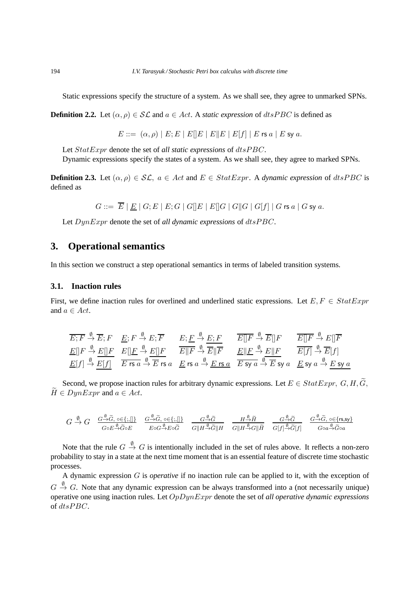Static expressions specify the structure of a system. As we shall see, they agree to unmarked SPNs.

**Definition 2.2.** Let  $(\alpha, \rho) \in \mathcal{SL}$  and  $a \in Act$ . A *static expression* of  $dtsPBC$  is defined as

 $E ::= (\alpha, \rho) | E; E | E | E | E | E | E | E | f | | E$  rs  $a | E$  sy  $a$ .

Let  $StatExpr$  denote the set of *all static expressions* of  $dtsPBC$ .

Dynamic expressions specify the states of a system. As we shall see, they agree to marked SPNs.

**Definition 2.3.** Let  $(\alpha, \rho) \in \mathcal{SL}$ ,  $a \in Act$  and  $E \in StatExpr$ . A *dynamic expression* of *dtsPBC* is defined as

 $G ::= \overline{E} | E | G; E | E; G | G || E | E || G | G || G | G | f | G$ rs a | G sy a.

Let  $DynExpr$  denote the set of *all dynamic expressions* of  $dtsPBC$ .

# **3. Operational semantics**

In this section we construct a step operational semantics in terms of labeled transition systems.

# **3.1. Inaction rules**

First, we define inaction rules for overlined and underlined static expressions. Let  $E, F \in StatExpr$ and  $a \in Act$ .

$$
\frac{\overline{E; F} \stackrel{\emptyset}{\rightarrow} \overline{E}; F}{\underline{E[|F} \stackrel{\emptyset}{\rightarrow} E[|F]} \frac{E; F \stackrel{\emptyset}{\rightarrow} E; \overline{F}}{\underline{E[|F} \stackrel{\emptyset}{\rightarrow} E[|F]} \frac{E; \underline{F} \stackrel{\emptyset}{\rightarrow} \underline{E}; F}{\underline{E[|F} \stackrel{\emptyset}{\rightarrow} \overline{E[|F]} \frac{E}}{\underline{F}} \frac{E; \underline{F} \stackrel{\emptyset}{\rightarrow} E; \underline{F}}{\underline{E[|F} \stackrel{\emptyset}{\rightarrow} E[|F]} \frac{E[|F \stackrel{\emptyset}{\rightarrow} \overline{E[|F]} \stackrel{\emptyset}{\rightarrow} E]}{\underline{E[|F} \stackrel{\emptyset}{\rightarrow} E[|F]} \frac{E[|F \stackrel{\emptyset}{\rightarrow} E|F}{\underline{E[f]} \stackrel{\emptyset}{\rightarrow} \overline{E}[f]} \frac{E[|F \stackrel{\emptyset}{\rightarrow} E|F}{\underline{E[f]} \stackrel{\emptyset}{\rightarrow} E}[f]
$$
\n
$$
\underline{E[|f] \stackrel{\emptyset}{\rightarrow} E[f]} \stackrel{\text{E: F} \stackrel{\emptyset}{\rightarrow} E \stackrel{\emptyset}{\rightarrow} E; \text{S: G} \stackrel{\emptyset}{\rightarrow} E; \text{S: G} \stackrel{\emptyset}{\rightarrow} E; \text{S: G} \stackrel{\emptyset}{\rightarrow} E; \text{S: G} \stackrel{\emptyset}{\rightarrow} E; \text{S: G} \stackrel{\emptyset}{\rightarrow} E; \text{S: G} \stackrel{\emptyset}{\rightarrow} E; \text{S: G} \stackrel{\emptyset}{\rightarrow} E; \text{S: G} \stackrel{\emptyset}{\rightarrow} E; \text{S: G} \stackrel{\emptyset}{\rightarrow} E; \text{S: G} \stackrel{\emptyset}{\rightarrow} E; \text{S: G} \stackrel{\emptyset}{\rightarrow} E; \text{S: G} \stackrel{\emptyset}{\rightarrow} E; \text{S: G} \stackrel{\emptyset}{\rightarrow} E; \text{S: G} \stackrel{\emptyset}{\rightarrow} E; \text{S: G} \stackrel{\emptyset}{\rightarrow} E; \text{S: G} \stackrel{\emptyset}{\rightarrow} E; \text{S: G} \stackrel{\emptyset}{\rightarrow} E; \text{S: G} \stackrel{\emptyset
$$

Second, we propose inaction rules for arbitrary dynamic expressions. Let  $E \in StatExpr$ ,  $G, H, \widetilde{G}$ ,  $H \in DunExpr$  and  $a \in Act$ .

$$
G \stackrel{\emptyset}{\to} G \quad \frac{G^{\stackrel{\emptyset}{\to}}\tilde{G}, \circ \in \{;,\llbracket \}}{G \circ E^{\stackrel{\emptyset}{\to}}\tilde{G} \circ E} \quad \frac{G^{\stackrel{\emptyset}{\to}}\tilde{G}, \circ \in \{;,\llbracket \}}{E \circ G^{\stackrel{\emptyset}{\to}}E \circ \tilde{G}} \quad \frac{G^{\stackrel{\emptyset}{\to}}\tilde{G}}{G \parallel H^{\stackrel{\emptyset}{\to}}\tilde{G} \parallel H} \quad \frac{H^{\stackrel{\emptyset}{\to}}\tilde{H}}{G \parallel H^{\stackrel{\emptyset}{\to}}G\parallel \tilde{H}} \quad \frac{G^{\stackrel{\emptyset}{\to}}\tilde{G}}{G[f] \stackrel{\emptyset}{\to} \tilde{G}[f]} \quad \frac{G^{\stackrel{\emptyset}{\to}}\tilde{G}, \circ \in \{rs, sy\}}{G \circ a \stackrel{\emptyset}{\to} \tilde{G} \circ a}
$$

Note that the rule  $G \stackrel{\emptyset}{\to} G$  is intentionally included in the set of rules above. It reflects a non-zero probability to stay in a state at the next time moment that is an essential feature of discrete time stochastic processes.

A dynamic expression G is *operative* if no inaction rule can be applied to it, with the exception of  $G \stackrel{\emptyset}{\rightarrow} G$ . Note that any dynamic expression can be always transformed into a (not necessarily unique) operative one using inaction rules. Let OpDynExpr denote the set of *all operative dynamic expressions* of  $dt$ sPBC.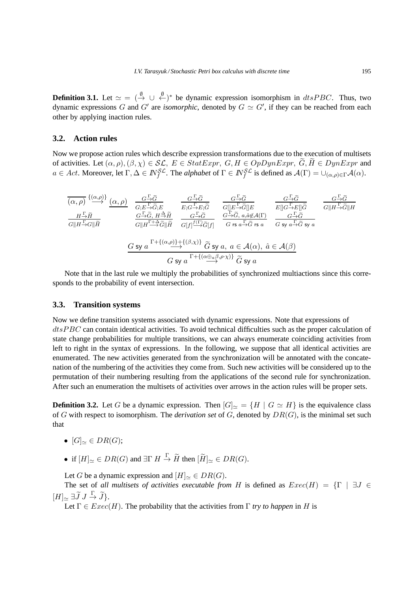**Definition 3.1.** Let  $\simeq$   $\leq$   $(\xrightarrow{\emptyset} \cup \xleftarrow{\emptyset}^*)^*$  be dynamic expression isomorphism in  $dtsPBC$ . Thus, two dynamic expressions G and G' are *isomorphic*, denoted by  $G \simeq G'$ , if they can be reached from each other by applying inaction rules.

## **3.2. Action rules**

Now we propose action rules which describe expression transformations due to the execution of multisets of activities. Let  $(\alpha, \rho), (\beta, \chi) \in \mathcal{SL}, E \in Start\, \mathcal{CH}, G, H \in Opp\, \widetilde{G}, \widetilde{H} \in Dyn\,$  $a \in Act$ . Moreover, let  $\Gamma, \Delta \in \mathbb{N}_f^{\mathcal{SL}}$ . The *alphabet* of  $\Gamma \in \mathbb{N}_f^{\mathcal{SL}}$  is defined as  $\mathcal{A}(\Gamma) = \cup_{(\alpha,\rho) \in \Gamma} \mathcal{A}(\alpha)$ .

$$
\frac{H-\widetilde{H}}{G||H-\widetilde{G}||\widetilde{H}} \quad \frac{G-\widetilde{G}}{G;\widetilde{B}-\widetilde{G};E} \quad \frac{G-\widetilde{G}}{E;G-\widetilde{F};\widetilde{G}} \quad \frac{G-\widetilde{G}}{G||E-\widetilde{G}||E} \quad \frac{G-\widetilde{G}}{E||G-\widetilde{F}E||\widetilde{G}} \quad \frac{G-\widetilde{G}}{G||H-\widetilde{G}||H}
$$
\n
$$
\frac{H-\widetilde{H}}{G||H-\widetilde{G}||\widetilde{H}} \quad \frac{G-\widetilde{G}}{G||H-\widetilde{F};\widetilde{G}||\widetilde{H}} \quad \frac{G-\widetilde{G}}{G||H-\widetilde{G}||\widetilde{H}} \quad \frac{G-\widetilde{G}}{G||H-\widetilde{G}||\widetilde{H}} \quad \frac{G-\widetilde{G}}{G||H-\widetilde{G}||\widetilde{H}} \quad \frac{G-\widetilde{G}}{G||H-\widetilde{G}||\widetilde{H}} \quad \frac{G-\widetilde{G}}{G}}{G\widetilde{H}||H-\widetilde{G}||\widetilde{H}} \quad \frac{G-\widetilde{G}}{G||H-\widetilde{G}||\widetilde{H}} \quad \frac{G-\widetilde{G}}{G||H-\widetilde{G}||\widetilde{H}} \quad \frac{G-\widetilde{G}}{G\widetilde{H}} \quad \frac{G-\widetilde{G}}{G\widetilde{H}}}{G\widetilde{H}\widetilde{H}\widetilde{H}} \quad \frac{G-\widetilde{G}}{G\widetilde{H}||\widetilde{H}} \quad \frac{G-\widetilde{G}}{G\widetilde{H}} \quad \frac{G-\widetilde{G}}{G\widetilde{H}\widetilde{H}} \quad \frac{G-\widetilde{G}}{G\widetilde{H}\widetilde{H}} \quad \frac{G-\widetilde{G}}{G\widetilde{H}\widetilde{H}} \quad \frac{G-\widetilde{G}}{G\widetilde{H}\widetilde{H}} \quad \frac{G-\widetilde{G}}{G\widetilde{H}\widetilde{H}} \quad \frac{G-\widetilde{G}}
$$

Note that in the last rule we multiply the probabilities of synchronized multiactions since this corresponds to the probability of event intersection.

#### **3.3. Transition systems**

Now we define transition systems associated with dynamic expressions. Note that expressions of  $disPBC$  can contain identical activities. To avoid technical difficulties such as the proper calculation of state change probabilities for multiple transitions, we can always enumerate coinciding activities from left to right in the syntax of expressions. In the following, we suppose that all identical activities are enumerated. The new activities generated from the synchronization will be annotated with the concatenation of the numbering of the activities they come from. Such new activities will be considered up to the permutation of their numbering resulting from the applications of the second rule for synchronization. After such an enumeration the multisets of activities over arrows in the action rules will be proper sets.

**Definition 3.2.** Let G be a dynamic expression. Then  $[G]_{\simeq} = \{H \mid G \simeq H\}$  is the equivalence class of G with respect to isomorphism. The *derivation set* of G, denoted by DR(G), is the minimal set such that

- $[G]_{\sim} \in DR(G);$
- if  $[H]_{\simeq} \in DR(G)$  and  $\exists \Gamma \; H \stackrel{\Gamma}{\to} \widetilde{H}$  then  $[\widetilde{H}]_{\simeq} \in DR(G)$ .

Let G be a dynamic expression and  $[H]_{\simeq} \in DR(G)$ .

The set of *all multisets of activities executable from* H is defined as  $Exec(H) = \{\Gamma \mid \exists J \in$  $[H]_{\simeq} \exists \widetilde{J} J \stackrel{\Gamma}{\rightarrow} \widetilde{J}$ .

Let  $\Gamma \in \text{Exec}(H)$ . The probability that the activities from  $\Gamma$  *try to happen* in H is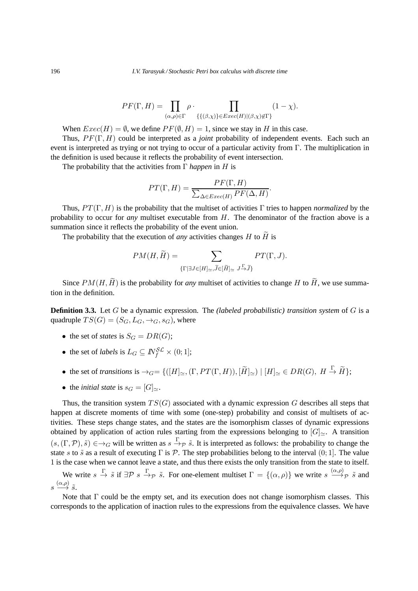$$
PF(\Gamma, H) = \prod_{(\alpha, \rho) \in \Gamma} \rho \cdot \prod_{\{\{(\beta, \chi)\}\in Excel(H)|(\beta, \chi) \notin \Gamma\}} (1 - \chi).
$$

When  $Exec(H) = \emptyset$ , we define  $PF(\emptyset, H) = 1$ , since we stay in H in this case.

Thus, P F(Γ, H) could be interpreted as a *joint* probability of independent events. Each such an event is interpreted as trying or not trying to occur of a particular activity from Γ. The multiplication in the definition is used because it reflects the probability of event intersection.

The probability that the activities from Γ *happen* in H is

$$
PT(\Gamma, H) = \frac{PF(\Gamma, H)}{\sum_{\Delta \in E}{\text{tree}(H)}PF(\Delta, H)}.
$$

Thus,  $PT(\Gamma, H)$  is the probability that the multiset of activities  $\Gamma$  tries to happen *normalized* by the probability to occur for *any* multiset executable from H. The denominator of the fraction above is a summation since it reflects the probability of the event union.

The probability that the execution of *any* activities changes H to  $\widetilde{H}$  is

$$
PM(H, \widetilde{H}) = \sum_{\{\Gamma \mid \exists J \in [H]_{\simeq}, \widetilde{J} \in [\widetilde{H}]_{\simeq} J \xrightarrow{\Gamma} \widetilde{J}\}} PT(\Gamma, J).
$$

Since  $PM(H, \tilde{H})$  is the probability for *any* multiset of activities to change H to  $\tilde{H}$ , we use summation in the definition.

**Definition 3.3.** Let G be a dynamic expression. The *(labeled probabilistic) transition system* of G is a quadruple  $TS(G) = (S_G, L_G, \rightarrow_G, s_G)$ , where

- the set of *states* is  $S_G = DR(G);$
- the set of *labels* is  $L_G \subseteq \mathbb{N}_f^{\mathcal{SL}} \times (0,1];$
- the set of *transitions* is  $\rightarrow_G = \{([H]_{\simeq}, (\Gamma, PT(\Gamma, H)), [\widetilde{H}]_{\simeq}) \mid [H]_{\simeq} \in DR(G), H \stackrel{\Gamma}{\rightarrow} \widetilde{H} \};$
- the *initial state* is  $s_G = [G]_{\simeq}$ .

Thus, the transition system  $TS(G)$  associated with a dynamic expression G describes all steps that happen at discrete moments of time with some (one-step) probability and consist of multisets of activities. These steps change states, and the states are the isomorphism classes of dynamic expressions obtained by application of action rules starting from the expressions belonging to  $[G] \sim$ . A transition  $(s, (\Gamma, \mathcal{P}), \tilde{s}) \in \to_G \text{ will be written as } s \xrightarrow{\Gamma} \tilde{s}$ . It is interpreted as follows: the probability to change the state s to  $\tilde{s}$  as a result of executing  $\Gamma$  is  $\mathcal{P}$ . The step probabilities belong to the interval (0; 1]. The value 1 is the case when we cannot leave a state, and thus there exists the only transition from the state to itself.

We write  $s \stackrel{\Gamma}{\to} \tilde{s}$  if  $\exists \mathcal{P} \ s \stackrel{\Gamma}{\to} \mathcal{P} \ \tilde{s}$ . For one-element multiset  $\Gamma = \{(\alpha, \rho)\}\$  we write  $s \stackrel{(\alpha, \rho)}{\to} \mathcal{P} \ \tilde{s}$  and  $s \stackrel{(\alpha,\rho)}{\longrightarrow} \tilde{s}.$ 

Note that Γ could be the empty set, and its execution does not change isomorphism classes. This corresponds to the application of inaction rules to the expressions from the equivalence classes. We have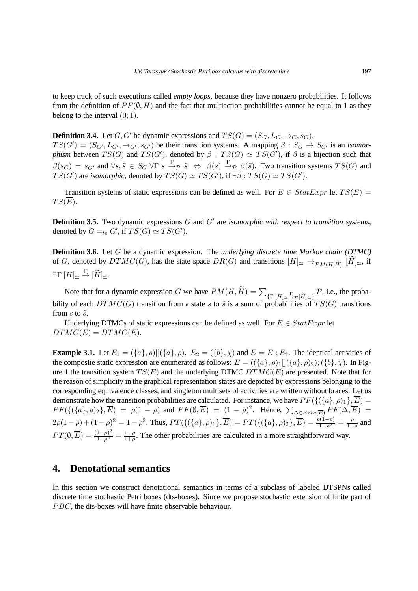to keep track of such executions called *empty loops*, because they have nonzero probabilities. It follows from the definition of  $PF(\emptyset, H)$  and the fact that multiaction probabilities cannot be equal to 1 as they belong to the interval  $(0, 1)$ .

**Definition 3.4.** Let  $G, G'$  be dynamic expressions and  $TS(G) = (S_G, L_G, \rightarrow_G, s_G)$ ,  $TS(G') = (S_{G'}, L_{G'}, \rightarrow_{G'}, s_{G'})$  be their transition systems. A mapping  $\beta : S_G \to S_{G'}$  is an *isomorphism* between  $TS(G)$  and  $TS(G')$ , denoted by  $\beta : TS(G) \simeq TS(G')$ , if  $\beta$  is a bijection such that  $\beta(s_G) = s_{G'}$  and  $\forall s, \tilde{s} \in S_G \ \forall \Gamma \ s \xrightarrow{\Gamma} \beta \ \Leftrightarrow \ \beta(s) \xrightarrow{\Gamma} \beta(\tilde{s})$ . Two transition systems  $TS(G)$  and  $TS(G')$  are *isomorphic*, denoted by  $TS(G) \simeq TS(G')$ , if  $\exists \beta : TS(G) \simeq TS(G')$ .

Transition systems of static expressions can be defined as well. For  $E \in StatExpr$  let  $TS(E)$  =  $TS(E).$ 

Definition 3.5. Two dynamic expressions G and G' are *isomorphic with respect to transition systems*, denoted by  $G =_{ts} G'$ , if  $TS(G) \simeq TS(G')$ .

**Definition 3.6.** Let G be a dynamic expression. The *underlying discrete time Markov chain (DTMC)* of G, denoted by  $DTMC(G)$ , has the state space  $DR(G)$  and transitions  $[H]_{\simeq} \to_{PM(H,\widetilde{H})} [H]_{\simeq}$ , if  $\exists \Gamma [H]_{\simeq} \stackrel{\Gamma}{\rightarrow} [\widetilde{H}]_{\simeq}.$ 

Note that for a dynamic expression G we have  $PM(H, \widetilde{H}) = \sum_{\{\Gamma | [H] \simeq \overset{\Gamma}{\rightarrow} \mathcal{P}[\widetilde{H}] \simeq \}} \mathcal{P}$ , i.e., the probability of each  $DTMC(G)$  transition from a state s to  $\tilde{s}$  is a sum of probabilities of  $TS(G)$  transitions from s to  $\tilde{s}$ .

Underlying DTMCs of static expressions can be defined as well. For  $E \in StatExpr$  let  $DTMC(E) = DTMC(\overline{E}).$ 

**Example 3.1.** Let  $E_1 = (\{a\}, \rho) [(\{a\}, \rho), E_2 = (\{b\}, \chi)$  and  $E = E_1; E_2$ . The identical activities of the composite static expression are enumerated as follows:  $E = (({a}, \rho)_1 || ({a}, \rho)_2); ({b}, \chi)$ . In Figure 1 the transition system  $TS(\overline{E})$  and the underlying DTMC  $DTMC(\overline{E})$  are presented. Note that for the reason of simplicity in the graphical representation states are depicted by expressions belonging to the corresponding equivalence classes, and singleton multisets of activities are written without braces. Let us demonstrate how the transition probabilities are calculated. For instance, we have  $PF(\{(\{a\}, \rho)_1\}, \overline{E}) =$  $PF(\{(\{a\}, \rho)_2\}, \overline{E}) = \rho(1-\rho)$  and  $PF(\emptyset, \overline{E}) = (1-\rho)^2$ . Hence,  $\sum_{\Delta \in E \text{vec}(\overline{E})} PF(\Delta, \overline{E}) =$  $2\rho(1-\rho)+(1-\rho)^2=1-\rho^2$ . Thus,  $PT(\{(\{a\},\rho)_1\},\overline{E})=PT(\{(\{a\},\rho)_2\},\overline{E})=\frac{\rho(1-\rho)}{1-\rho^2}=\frac{\rho(1-\rho)}{1+\rho^2}$  $\frac{\rho}{1+\rho}$  and  $PT(\emptyset,\overline{E})=\frac{(1-\rho)^2}{1-\rho^2}$  $\frac{(1-\rho)^2}{1-\rho^2} = \frac{1-\rho}{1+\rho}$  $\frac{1-\rho}{1+\rho}$ . The other probabilities are calculated in a more straightforward way.

# **4. Denotational semantics**

In this section we construct denotational semantics in terms of a subclass of labeled DTSPNs called discrete time stochastic Petri boxes (dts-boxes). Since we propose stochastic extension of finite part of PBC, the dts-boxes will have finite observable behaviour.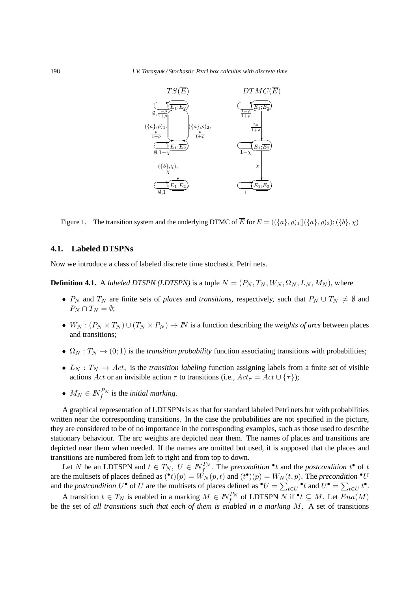

Figure 1. The transition system and the underlying DTMC of  $\overline{E}$  for  $E = (\langle \{a\}, \rho \rangle)_{1} [(\{a\}, \rho)_{2}); (\{b\}, \chi)$ 

## **4.1. Labeled DTSPNs**

Now we introduce a class of labeled discrete time stochastic Petri nets.

**Definition 4.1.** A *labeled DTSPN (LDTSPN)* is a tuple  $N = (P_N, T_N, W_N, \Omega_N, L_N, M_N)$ , where

- $P_N$  and  $T_N$  are finite sets of *places* and *transitions*, respectively, such that  $P_N \cup T_N \neq \emptyset$  and  $P_N \cap T_N = \emptyset$ :
- $W_N : (P_N \times T_N) \cup (T_N \times P_N) \to \mathbb{N}$  is a function describing the *weights of arcs* between places and transitions;
- $\Omega_N : T_N \to (0, 1)$  is the *transition probability* function associating transitions with probabilities;
- $L_N$ :  $T_N \rightarrow Act_\tau$  is the *transition labeling* function assigning labels from a finite set of visible actions Act or an invisible action  $\tau$  to transitions (i.e.,  $Act_{\tau} = Act \cup {\tau}$ );
- $M_N \in I\!\!N_f^{P_N}$  is the *initial marking*.

A graphical representation of LDTSPNs is as that for standard labeled Petri nets but with probabilities written near the corresponding transitions. In the case the probabilities are not specified in the picture, they are considered to be of no importance in the corresponding examples, such as those used to describe stationary behaviour. The arc weights are depicted near them. The names of places and transitions are depicted near them when needed. If the names are omitted but used, it is supposed that the places and transitions are numbered from left to right and from top to down.

Let N be an LDTSPN and  $t \in T_N$ ,  $U \in \mathbb{N}_{f}^{T_N}$ . The *precondition*  $\cdot^*t$  and the *postcondition*  $t^*$  of  $t$ are the multisets of places defined as  $(\bullet t)(p) = \dot{W_N}(p, t)$  and  $(t\bullet)(p) = W_N(t, p)$ . The *precondition*  $\bullet U$ and the *postcondition* U<sup>•</sup> of U are the multisets of places defined as  $\bullet U = \sum_{t \in U} \bullet_t t \bullet$ .

A transition  $t \in T_N$  is enabled in a marking  $M \in \mathbb{N}_f^{P_N}$  of LDTSPN N if  $\text{*}t \subseteq M$ . Let  $Ena(M)$ be the set of *all transitions such that each of them is enabled in a marking* M. A set of transitions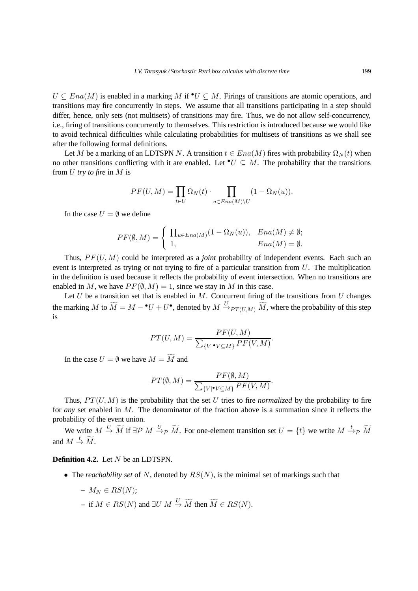$U \subseteq Ena(M)$  is enabled in a marking M if  $\mathbb{U} \subseteq M$ . Firings of transitions are atomic operations, and transitions may fire concurrently in steps. We assume that all transitions participating in a step should differ, hence, only sets (not multisets) of transitions may fire. Thus, we do not allow self-concurrency, i.e., firing of transitions concurrently to themselves. This restriction is introduced because we would like to avoid technical difficulties while calculating probabilities for multisets of transitions as we shall see after the following formal definitions.

Let M be a marking of an LDTSPN N. A transition  $t \in Ena(M)$  fires with probability  $\Omega_N(t)$  when no other transitions conflicting with it are enabled. Let  $\bullet U \subseteq M$ . The probability that the transitions from U *try to fire* in M is

$$
PF(U, M) = \prod_{t \in U} \Omega_N(t) \cdot \prod_{u \in Ena(M) \setminus U} (1 - \Omega_N(u)).
$$

In the case  $U = \emptyset$  we define

$$
PF(\emptyset, M) = \begin{cases} \prod_{u \in Ena(M)} (1 - \Omega_N(u)), & Ena(M) \neq \emptyset; \\ 1, & Ena(M) = \emptyset. \end{cases}
$$

Thus,  $PF(U, M)$  could be interpreted as a *joint* probability of independent events. Each such an event is interpreted as trying or not trying to fire of a particular transition from  $U$ . The multiplication in the definition is used because it reflects the probability of event intersection. When no transitions are enabled in M, we have  $PF(\emptyset, M) = 1$ , since we stay in M in this case.

Let  $U$  be a transition set that is enabled in  $M$ . Concurrent firing of the transitions from  $U$  changes the marking M to  $\widetilde{M} = M - {}^{\bullet}U + U^{\bullet}$ , denoted by  $M \xrightarrow{U} P_{T(U,M)} \widetilde{M}$ , where the probability of this step is

$$
PT(U, M) = \frac{PF(U, M)}{\sum_{\{V | \bullet V \subseteq M\}} PF(V, M)}.
$$

In the case  $U = \emptyset$  we have  $M = \widetilde{M}$  and

$$
PT(\emptyset, M) = \frac{PF(\emptyset, M)}{\sum_{\{V | \bullet V \subseteq M\}} PF(V, M)}.
$$

Thus,  $PT(U, M)$  is the probability that the set U tries to fire *normalized* by the probability to fire for *any* set enabled in M. The denominator of the fraction above is a summation since it reflects the probability of the event union.

We write  $M \stackrel{U}{\to} \widetilde{M}$  if  $\exists \mathcal{P} \ M \stackrel{U}{\to} \mathcal{P} \ \widetilde{M}$ . For one-element transition set  $U = \{t\}$  we write  $M \stackrel{t}{\to} \mathcal{P} \ \widetilde{M}$ and  $M \stackrel{t}{\rightarrow} \widetilde{M}$ .

## **Definition 4.2.** Let N be an LDTSPN.

- The *reachability set* of N, denoted by  $RS(N)$ , is the minimal set of markings such that
	- $-M_N \in RS(N);$
	- **–** if  $M \in RS(N)$  and  $\exists U \ M \stackrel{U}{\rightarrow} \widetilde{M}$  then  $\widetilde{M} \in RS(N)$ .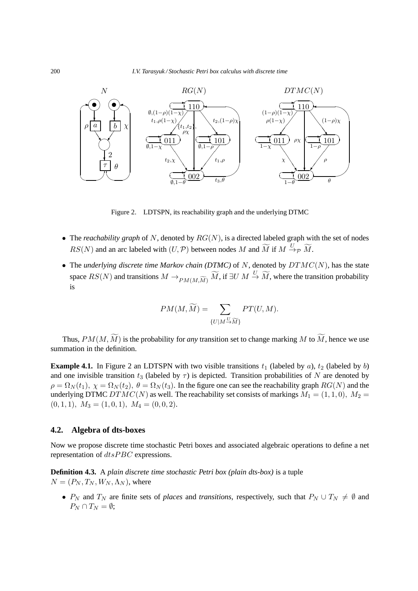

Figure 2. LDTSPN, its reachability graph and the underlying DTMC

- The *reachability graph* of N, denoted by  $RG(N)$ , is a directed labeled graph with the set of nodes  $RS(N)$  and an arc labeled with  $(U, \mathcal{P})$  between nodes M and  $\widetilde{M}$  if  $M \xrightarrow{U} \mathcal{P} \widetilde{M}$ .
- The *underlying discrete time Markov chain (DTMC)* of  $N$ , denoted by  $DTMC(N)$ , has the state space  $RS(N)$  and transitions  $M \to_{PM(M, \widetilde{M})} \widetilde{M}$ , if  $\exists U \ M \stackrel{U}{\to} \widetilde{M}$ , where the transition probability is

$$
PM(M, \widetilde{M}) = \sum_{\{U \mid M \stackrel{U}{\to} \widetilde{M}\}} PT(U, M).
$$

Thus,  $PM(M, \widetilde{M})$  is the probability for *any* transition set to change marking M to  $\widetilde{M}$ , hence we use summation in the definition.

**Example 4.1.** In Figure 2 an LDTSPN with two visible transitions  $t_1$  (labeled by a),  $t_2$  (labeled by b) and one invisible transition  $t_3$  (labeled by  $\tau$ ) is depicted. Transition probabilities of N are denoted by  $\rho = \Omega_N(t_1), \chi = \Omega_N(t_2), \theta = \Omega_N(t_3)$ . In the figure one can see the reachability graph  $RG(N)$  and the underlying DTMC  $DTMC(N)$  as well. The reachability set consists of markings  $M_1 = (1, 1, 0), M_2 =$  $(0, 1, 1), M_3 = (1, 0, 1), M_4 = (0, 0, 2).$ 

### **4.2. Algebra of dts-boxes**

Now we propose discrete time stochastic Petri boxes and associated algebraic operations to define a net representation of  $dtsPBC$  expressions.

**Definition 4.3.** A *plain discrete time stochastic Petri box (plain dts-box)* is a tuple  $N = (P_N, T_N, W_N, \Lambda_N)$ , where

•  $P_N$  and  $T_N$  are finite sets of *places* and *transitions*, respectively, such that  $P_N \cup T_N \neq \emptyset$  and  $P_N \cap T_N = \emptyset;$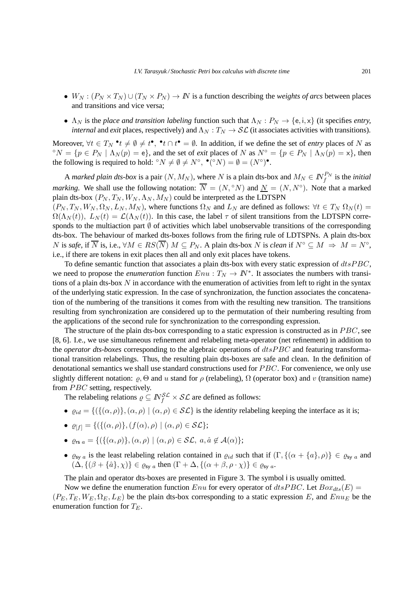- $W_N : (P_N \times T_N) \cup (T_N \times P_N) \to N$  is a function describing the *weights of arcs* between places and transitions and vice versa;
- $\Lambda_N$  is the *place and transition labeling* function such that  $\Lambda_N$  :  $P_N \to \{e, i, x\}$  (it specifies *entry*, *internal* and *exit* places, respectively) and  $\Lambda_N : T_N \to \mathcal{SL}$  (it associates activities with transitions).

Moreover,  $\forall t \in T_N \cdot t \neq \emptyset \neq t^{\bullet}, \exists t \cap t^{\bullet} = \emptyset$ . In addition, if we define the set of *entry* places of N as <sup>o</sup> $N = \{p \in P_N \mid \Lambda_N(p) = e\}$ , and the set of *exit* places of N as  $N^{\circ} = \{p \in P_N \mid \Lambda_N(p) = x\}$ , then the following is required to hold:  ${}^{\circ}N \neq \emptyset \neq N^{\circ}$ ,  ${}^{\bullet}({}^{\circ}N) = \emptyset = (N^{\circ})^{\bullet}$ .

A *marked plain dts-box* is a pair  $(N, M_N)$ , where N is a plain dts-box and  $M_N \in \mathbb{N}_f^{P_N}$  is the *initial marking*. We shall use the following notation:  $\overline{N} = (N, \degree N)$  and  $\underline{N} = (N, N^{\degree})$ . Note that a marked plain dts-box  $(P_N, T_N, W_N, \Lambda_N, M_N)$  could be interpreted as the LDTSPN  $(P_N, T_N, W_N, \Omega_N, L_N, M_N)$ , where functions  $\Omega_N$  and  $L_N$  are defined as follows:  $\forall t \in T_N$   $\Omega_N(t)$  $\Omega(\Lambda_N(t)), L_N(t) = \mathcal{L}(\Lambda_N(t)).$  In this case, the label  $\tau$  of silent transitions from the LDTSPN corresponds to the multiaction part  $\emptyset$  of activities which label unobservable transitions of the corresponding dts-box. The behaviour of marked dts-boxes follows from the firing rule of LDTSPNs. A plain dts-box

N is *safe*, if  $\overline{N}$  is, i.e.,  $\forall M \in RS(\overline{N})$  M ⊆  $P_N$ . A plain dts-box N is *clean* if  $N^{\circ} \subseteq M \Rightarrow M = N^{\circ}$ , i.e., if there are tokens in exit places then all and only exit places have tokens. To define semantic function that associates a plain dts-box with every static expression of  $dtsPBC$ ,

we need to propose the *enumeration* function  $Env : T_N \to \mathbb{N}^*$ . It associates the numbers with transitions of a plain dts-box  $N$  in accordance with the enumeration of activities from left to right in the syntax of the underlying static expression. In the case of synchronization, the function associates the concatenation of the numbering of the transitions it comes from with the resulting new transition. The transitions resulting from synchronization are considered up to the permutation of their numbering resulting from the applications of the second rule for synchronization to the corresponding expression.

The structure of the plain dts-box corresponding to a static expression is constructed as in  $PBC$ , see [8, 6]. I.e., we use simultaneous refinement and relabeling meta-operator (net refinement) in addition to the *operator dts-boxes* corresponding to the algebraic operations of dtsP BC and featuring transformational transition relabelings. Thus, the resulting plain dts-boxes are safe and clean. In the definition of denotational semantics we shall use standard constructions used for *PBC*. For convenience, we only use slightly different notation:  $\rho$ ,  $\Theta$  and u stand for  $\rho$  (relabeling),  $\Omega$  (operator box) and v (transition name) from  $PBC$  setting, respectively.

The relabeling relations  $\rho \subseteq N_f^{\mathcal{SL}} \times \mathcal{SL}$  are defined as follows:

- $\bullet$   $\rho_{id} = \{ (\{(\alpha, \rho)\}, (\alpha, \rho) \mid (\alpha, \rho) \in \mathcal{SL} \}$  is the *identity* relabeling keeping the interface as it is;
- $\varrho_{[f]} = \{ (\{(\alpha, \rho)\}, (f(\alpha), \rho) \mid (\alpha, \rho) \in \mathcal{SL} \};$
- $\varrho_{rs\ a} = \{ (\{ (\alpha, \rho) \}, (\alpha, \rho) \mid (\alpha, \rho) \in \mathcal{SL}, \ a, \hat{a} \notin \mathcal{A}(\alpha) \};$
- $\varrho_{sy}$  is the least relabeling relation contained in  $\varrho_{id}$  such that if  $(\Gamma, \{(\alpha + \{a\}, \rho)\}\in \varrho_{sy}$  and  $(\Delta, \{(\beta + \{\hat{a}\}, \chi)\}\in \varrho_{\text{sy }a}$  then  $(\Gamma + \Delta, \{(\alpha + \beta, \rho \cdot \chi)\}\in \varrho_{\text{sy }a}$ .

The plain and operator dts-boxes are presented in Figure 3. The symbol i is usually omitted.

Now we define the enumeration function Enu for every operator of  $dt s PBC$ . Let  $Box_{dt s}(E)$  =  $(P_E, T_E, W_E, \Omega_E, L_E)$  be the plain dts-box corresponding to a static expression E, and  $Enu_E$  be the enumeration function for  $T_E$ .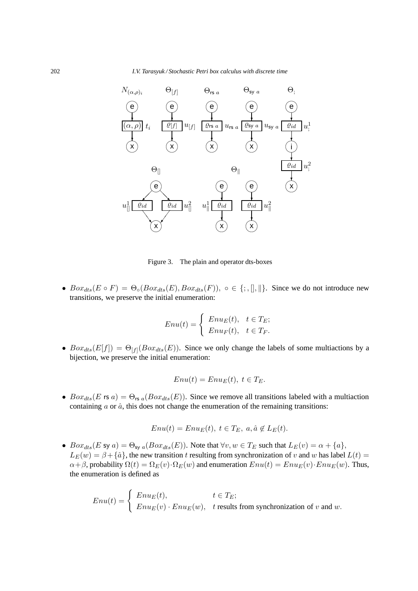

Figure 3. The plain and operator dts-boxes

•  $Box_{dts}(E \circ F) = \Theta_{\circ}(Box_{dts}(E),Box_{dts}(F)), \circ \in \{\, ; , \| , \| \}.$  Since we do not introduce new transitions, we preserve the initial enumeration:

$$
Enu(t) = \begin{cases} Enu_E(t), & t \in T_E; \\ Enu_F(t), & t \in T_F. \end{cases}
$$

•  $Box_{ds}(E[f]) = \Theta_{[f]}(Box_{dts}(E))$ . Since we only change the labels of some multiactions by a bijection, we preserve the initial enumeration:

$$
Enu(t) = EnuE(t), t \in TE.
$$

•  $Box_{dts}(E \text{ rs } a) = \Theta_{rs a}(Box_{dts}(E)).$  Since we remove all transitions labeled with a multiaction containing  $\alpha$  or  $\hat{\alpha}$ , this does not change the enumeration of the remaining transitions:

$$
Enu(t) = EnuE(t), t \in TE, a, \hat{a} \notin LE(t).
$$

•  $Box_{dts}(E \text{ sy } a) = \Theta_{\text{sy } a}(Box_{dts}(E))$ . Note that  $\forall v, w \in T_E$  such that  $L_E(v) = \alpha + \{a\},$  $L_E(w) = \beta + {\hat{a}}$ , the new transition t resulting from synchronization of v and w has label  $L(t)$  =  $\alpha + \beta$ , probability  $\Omega(t) = \Omega_E(v) \cdot \Omega_E(w)$  and enumeration  $Env(t) = Env_E(v) \cdot Env_E(w)$ . Thus, the enumeration is defined as

$$
Enu(t) = \begin{cases} Enu_E(t), & t \in T_E; \\ Enu_E(v) \cdot Enu_E(w), & t \text{ results from synchronization of } v \text{ and } w. \end{cases}
$$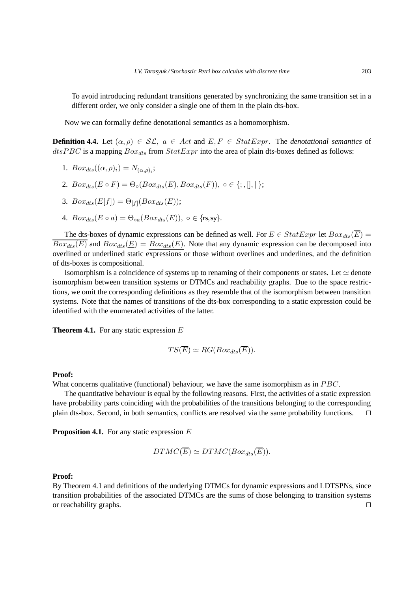To avoid introducing redundant transitions generated by synchronizing the same transition set in a different order, we only consider a single one of them in the plain dts-box.

Now we can formally define denotational semantics as a homomorphism.

**Definition 4.4.** Let  $(\alpha, \rho) \in \mathcal{SL}$ ,  $a \in Act$  and  $E, F \in StatExpr$ . The *denotational semantics* of  $dtsPBC$  is a mapping  $Box_{dts}$  from  $StatExpr$  into the area of plain dts-boxes defined as follows:

1. 
$$
Box_{dts}((\alpha,\rho)_i) = N_{(\alpha,\rho)_i};
$$

- 2.  $Box_{dts}(E \circ F) = \Theta_{\circ}(Box_{dts}(E),Box_{dts}(F)), \circ \in \{; , \|, \| \};$
- 3.  $Box_{dts}(E[f]) = \Theta_{[f]}(Box_{dts}(E));$
- 4.  $Box_{dts}(E \circ a) = \Theta_{oa}(Box_{dts}(E)), o \in \{rs, sy\}.$

The dts-boxes of dynamic expressions can be defined as well. For  $E \in StatExpr$  let  $Box_{dts}(\overline{E}) =$  $\overline{Box_{dts}(E)}$  and  $Box_{dts}(E) = Box_{dts}(E)$ . Note that any dynamic expression can be decomposed into overlined or underlined static expressions or those without overlines and underlines, and the definition of dts-boxes is compositional.

Isomorphism is a coincidence of systems up to renaming of their components or states. Let  $\simeq$  denote isomorphism between transition systems or DTMCs and reachability graphs. Due to the space restrictions, we omit the corresponding definitions as they resemble that of the isomorphism between transition systems. Note that the names of transitions of the dts-box corresponding to a static expression could be identified with the enumerated activities of the latter.

**Theorem 4.1.** For any static expression E

$$
TS(\overline{E}) \simeq RG(Box_{dts}(\overline{E})).
$$

### **Proof:**

What concerns qualitative (functional) behaviour, we have the same isomorphism as in  $PBC$ .

The quantitative behaviour is equal by the following reasons. First, the activities of a static expression have probability parts coinciding with the probabilities of the transitions belonging to the corresponding plain dts-box. Second, in both semantics, conflicts are resolved via the same probability functions. ⊓⊔

**Proposition 4.1.** For any static expression E

$$
DTMC(\overline{E}) \simeq DTMC(Box_{dts}(\overline{E})).
$$

#### **Proof:**

By Theorem 4.1 and definitions of the underlying DTMCs for dynamic expressions and LDTSPNs, since transition probabilities of the associated DTMCs are the sums of those belonging to transition systems or reachability graphs. ⊓⊔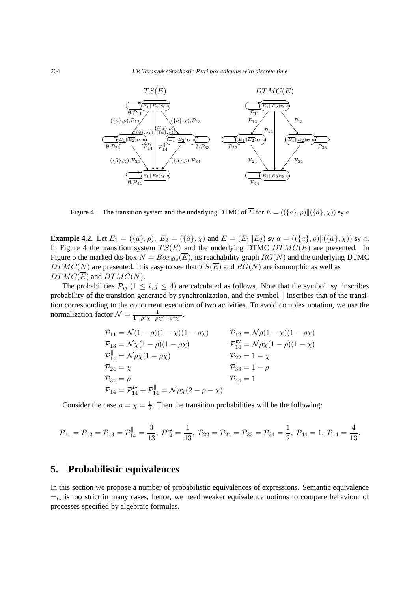

Figure 4. The transition system and the underlying DTMC of  $\overline{E}$  for  $E = (\{\{a\}, \rho\} || \{\{\hat{a}\}, \chi\})$  sy a

**Example 4.2.** Let  $E_1 = (\{a\}, \rho), E_2 = (\{\hat{a}\}, \chi)$  and  $E = (E_1 || E_2)$  sy  $a = ((\{a\}, \rho) || (\{\hat{a}\}, \chi))$  sy  $a$ . In Figure 4 the transition system  $TS(\overline{E})$  and the underlying DTMC  $DTMC(\overline{E})$  are presented. In Figure 5 the marked dts-box  $N = Box_{dts}(\overline{E})$ , its reachability graph  $RG(N)$  and the underlying DTMC  $DTMC(N)$  are presented. It is easy to see that  $TS(\overline{E})$  and  $RG(N)$  are isomorphic as well as  $DTMC(\overline{E})$  and  $DTMC(N)$ .

The probabilities  $P_{ij}$   $(1 \le i, j \le 4)$  are calculated as follows. Note that the symbol sy inscribes probability of the transition generated by synchronization, and the symbol  $\parallel$  inscribes that of the transition corresponding to the concurrent execution of two activities. To avoid complex notation, we use the normalization factor  $\mathcal{N} = \frac{1}{1 - a^2 \sqrt{a^2}}$  $\frac{1}{1-\rho^2\chi-\rho\chi^2+\rho^2\chi^2}.$ 

$$
\begin{aligned}\n\mathcal{P}_{11} &= \mathcal{N}(1 - \rho)(1 - \chi)(1 - \rho \chi) & \mathcal{P}_{12} &= \mathcal{N}\rho(1 - \chi)(1 - \rho \chi) \\
\mathcal{P}_{13} &= \mathcal{N}\chi(1 - \rho)(1 - \rho \chi) & \mathcal{P}_{14}^{\text{sy}} &= \mathcal{N}\rho\chi(1 - \rho)(1 - \chi) \\
\mathcal{P}_{14}^{\parallel} &= \mathcal{N}\rho\chi(1 - \rho \chi) & \mathcal{P}_{22} &= 1 - \chi \\
\mathcal{P}_{24} &= \chi & \mathcal{P}_{33} &= 1 - \rho \\
\mathcal{P}_{34} &= \rho & \mathcal{P}_{44} &= 1 \\
\mathcal{P}_{14} &= \mathcal{P}_{14}^{\text{sy}} + \mathcal{P}_{14}^{\parallel} &= \mathcal{N}\rho\chi(2 - \rho - \chi)\n\end{aligned}
$$

Consider the case  $\rho = \chi = \frac{1}{2}$ . Then the transition probabilities will be the following:

$$
\mathcal{P}_{11}=\mathcal{P}_{12}=\mathcal{P}_{13}=\mathcal{P}_{14}^{\parallel}=\frac{3}{13},\ \mathcal{P}_{14}^{\text{sy}}=\frac{1}{13},\ \mathcal{P}_{22}=\mathcal{P}_{24}=\mathcal{P}_{33}=\mathcal{P}_{34}=\frac{1}{2},\ \mathcal{P}_{44}=1,\ \mathcal{P}_{14}=\frac{4}{13}.
$$

# **5. Probabilistic equivalences**

In this section we propose a number of probabilistic equivalences of expressions. Semantic equivalence  $=t<sub>s</sub>$  is too strict in many cases, hence, we need weaker equivalence notions to compare behaviour of processes specified by algebraic formulas.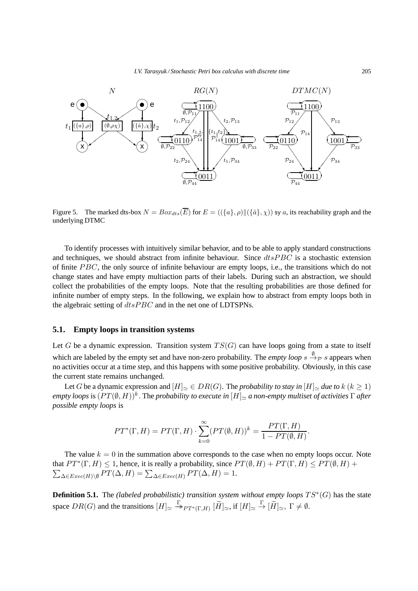

Figure 5. The marked dts-box  $N = Box_{dts}(\overline{E})$  for  $E = (\langle \{a\}, \rho \rangle || \langle \{a\}, \chi \rangle)$  sy a, its reachability graph and the underlying DTMC

To identify processes with intuitively similar behavior, and to be able to apply standard constructions and techniques, we should abstract from infinite behaviour. Since  $dt s P B C$  is a stochastic extension of finite  $PBC$ , the only source of infinite behaviour are empty loops, i.e., the transitions which do not change states and have empty multiaction parts of their labels. During such an abstraction, we should collect the probabilities of the empty loops. Note that the resulting probabilities are those defined for infinite number of empty steps. In the following, we explain how to abstract from empty loops both in the algebraic setting of  $dtsPBC$  and in the net one of LDTSPNs.

### **5.1. Empty loops in transition systems**

Let G be a dynamic expression. Transition system  $TS(G)$  can have loops going from a state to itself which are labeled by the empty set and have non-zero probability. The *empty loop*  $s \stackrel{\emptyset}{\to} p s$  appears when no activities occur at a time step, and this happens with some positive probability. Obviously, in this case the current state remains unchanged.

Let G be a dynamic expression and  $[H]_{\simeq} \in DR(G)$ . The *probability to stay in*  $[H]_{\simeq}$  *due to*  $k$  ( $k \ge 1$ )  $e$ mpty loops is  $(PT(\emptyset,H))^k$  . The *probability to execute in*  $[H]_{\simeq}$  *a non-empty multiset of activities*  $\Gamma$  after *possible empty loops* is

$$
PT^*(\Gamma, H) = PT(\Gamma, H) \cdot \sum_{k=0}^{\infty} (PT(\emptyset, H))^k = \frac{PT(\Gamma, H)}{1 - PT(\emptyset, H)}.
$$

The value  $k = 0$  in the summation above corresponds to the case when no empty loops occur. Note that  $PT^*(\Gamma, H) \leq 1$ , hence, it is really a probability, since  $PT(\emptyset, H) + PT(\Gamma, H) \leq PT(\emptyset, H) +$  $\sum_{\Delta \in Excel(H) \backslash \emptyset} PT(\Delta, H) = \sum_{\Delta \in Excel(H)} PT(\Delta, H) = 1.$ 

**Definition 5.1.** The *(labeled probabilistic) transition system without empty loops*  $TS^*(G)$  has the state space  $DR(G)$  and the transitions  $[H] \simeq \frac{\Gamma}{\rightarrow} PT^*(\Gamma, H)$   $[\widetilde{H}] \simeq$ , if  $[H] \simeq \frac{\Gamma}{\rightarrow} [\widetilde{H}] \simeq$ ,  $\Gamma \neq \emptyset$ .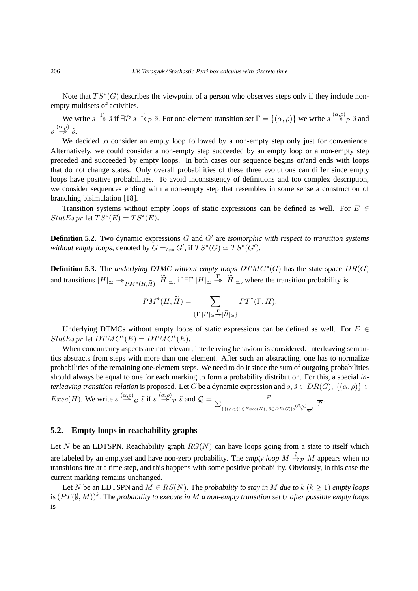Note that  $TS^*(G)$  describes the viewpoint of a person who observes steps only if they include nonempty multisets of activities.

We write  $s \stackrel{\Gamma}{\rightarrow} \tilde{s}$  if  $\exists \mathcal{P} \ s \stackrel{\Gamma}{\rightarrow} \mathcal{P} \ \tilde{s}$ . For one-element transition set  $\Gamma = \{(\alpha, \rho)\}\$  we write  $s \stackrel{(\alpha, \rho)}{\rightarrow} \mathcal{P} \ \tilde{s}$  and  $s\stackrel{(\alpha,\rho)}{\twoheadrightarrow}\tilde{s}.$ 

We decided to consider an empty loop followed by a non-empty step only just for convenience. Alternatively, we could consider a non-empty step succeeded by an empty loop or a non-empty step preceded and succeeded by empty loops. In both cases our sequence begins or/and ends with loops that do not change states. Only overall probabilities of these three evolutions can differ since empty loops have positive probabilities. To avoid inconsistency of definitions and too complex description, we consider sequences ending with a non-empty step that resembles in some sense a construction of branching bisimulation [18].

Transition systems without empty loops of static expressions can be defined as well. For  $E \in$  $StatExpr$  let  $TS^*(E) = TS^*(\overline{E}).$ 

**Definition 5.2.** Two dynamic expressions G and G′ are *isomorphic with respect to transition systems without empty loops*, denoted by  $G =_{ts*} G'$ , if  $TS^*(G) \simeq TS^*(G')$ .

**Definition 5.3.** The *underlying DTMC without empty loops DTMC*<sup>\*</sup>(*G*) has the state space *DR*(*G*) and transitions  $[H]_{\simeq} \twoheadrightarrow_{PM^*(H, \widetilde{H})} [\widetilde{H}]_{\simeq}$ , if  $\exists \Gamma[H]_{\simeq} \twoheadrightarrow [\widetilde{H}]_{\simeq}$ , where the transition probability is

$$
PM^*(H, \widetilde{H}) = \sum_{\{\Gamma | [H] \simeq \frac{\Gamma}{\mathcal{M}}[\widetilde{H}] \simeq \}} PT^*(\Gamma, H).
$$

Underlying DTMCs without empty loops of static expressions can be defined as well. For  $E \in$  $StatExpr$  let  $DTMC^*(E) = DTMC^*(\overline{E}).$ 

When concurrency aspects are not relevant, interleaving behaviour is considered. Interleaving semantics abstracts from steps with more than one element. After such an abstracting, one has to normalize probabilities of the remaining one-element steps. We need to do it since the sum of outgoing probabilities should always be equal to one for each marking to form a probability distribution. For this, a special *interleaving transition relation* is proposed. Let G be a dynamic expression and  $s, \tilde{s} \in DR(G), \{(\alpha, \rho)\} \in$ *Exec(H)*. We write  $s \stackrel{(\alpha,\rho)}{\longrightarrow} g \tilde{s}$  if  $s \stackrel{(\alpha,\rho)}{\longrightarrow} p \tilde{s}$  and  $\mathcal{Q} = \frac{p}{\sum_{\alpha,\sigma} q(\alpha,\sigma)}$  ${P}$ <br>{{( $\beta, \chi$ )}∈Exec(H),  $\bar{s} \in DR(G)|s \stackrel{(\beta, \chi)}{\rightarrow} \overline{\overline{P}}$ .

# **5.2. Empty loops in reachability graphs**

Let N be an LDTSPN. Reachability graph  $RG(N)$  can have loops going from a state to itself which are labeled by an emptyset and have non-zero probability. The *empty loop*  $M \xrightarrow{\emptyset} M$  appears when no transitions fire at a time step, and this happens with some positive probability. Obviously, in this case the current marking remains unchanged.

Let N be an LDTSPN and  $M \in RS(N)$ . The *probability to stay in* M *due to*  $k (k \ge 1)$  *empty loops* is  $(PT(\emptyset, M))^k$  . The *probability to execute in M a non-empty transition set* U after possible empty loops is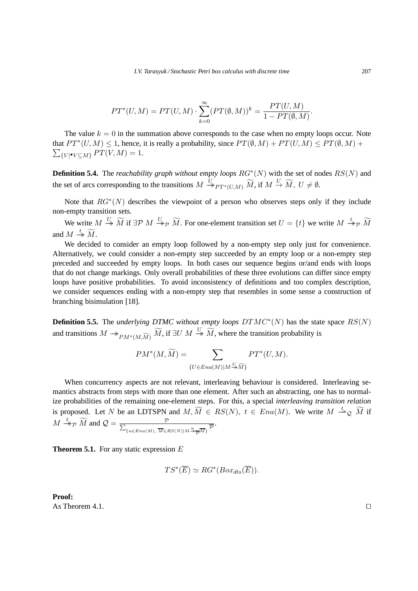$$
PT^{*}(U, M) = PT(U, M) \cdot \sum_{k=0}^{\infty} (PT(\emptyset, M))^{k} = \frac{PT(U, M)}{1 - PT(\emptyset, M)}.
$$

The value  $k = 0$  in the summation above corresponds to the case when no empty loops occur. Note that  $PT^*(U, M) \leq 1$ , hence, it is really a probability, since  $PT(\emptyset, M) + PT(U, M) \leq PT(\emptyset, M) +$  $\sum_{\{V | \bullet V \subseteq M\}} PT(V, M) = 1.$ 

**Definition 5.4.** The *reachability graph without empty loops*  $RG^*(N)$  with the set of nodes  $RS(N)$  and the set of arcs corresponding to the transitions  $M \stackrel{U}{\to}_{PT^*(U,M)} \widetilde{M}$ , if  $M \stackrel{U}{\to} \widetilde{M}$ ,  $U \neq \emptyset$ .

Note that  $RG^*(N)$  describes the viewpoint of a person who observes steps only if they include non-empty transition sets.

We write  $M \stackrel{U}{\rightarrow} \widetilde{M}$  if  $\exists \mathcal{P} \ M \stackrel{U}{\rightarrow} \mathcal{P} \ \widetilde{M}$ . For one-element transition set  $U = \{t\}$  we write  $M \stackrel{t}{\rightarrow} \mathcal{P} \ \widetilde{M}$ and  $M \stackrel{t}{\rightarrow} \widetilde{M}$ .

We decided to consider an empty loop followed by a non-empty step only just for convenience. Alternatively, we could consider a non-empty step succeeded by an empty loop or a non-empty step preceded and succeeded by empty loops. In both cases our sequence begins or/and ends with loops that do not change markings. Only overall probabilities of these three evolutions can differ since empty loops have positive probabilities. To avoid inconsistency of definitions and too complex description, we consider sequences ending with a non-empty step that resembles in some sense a construction of branching bisimulation [18].

**Definition 5.5.** The *underlying DTMC without empty loops*  $DTMC^*(N)$  has the state space  $RS(N)$ and transitions  $M \to_{PM^*(M, \widetilde{M})} \widetilde{M}$ , if  $\exists U \ M \stackrel{U}{\to} \widetilde{M}$ , where the transition probability is

$$
PM^*(M, \widetilde{M}) = \sum_{\{U \in Ena(M)|M \stackrel{U}{\twoheadrightarrow} \widetilde{M}\}} PT^*(U, M).
$$

When concurrency aspects are not relevant, interleaving behaviour is considered. Interleaving semantics abstracts from steps with more than one element. After such an abstracting, one has to normalize probabilities of the remaining one-element steps. For this, a special *interleaving transition relation* is proposed. Let N be an LDTSPN and  $M, \widetilde{M} \in RS(N)$ ,  $t \in Ena(M)$ . We write  $M \stackrel{t_{\infty}}{\longrightarrow} \widetilde{M}$  if  $M \stackrel{t}{\rightarrow} p \widetilde{M}$  and  $Q = \frac{p}{\sum_{k=1}^{n} (p_k - p_k)}$  ${p \over \sqrt{u \in Ena(M), \, M \in RS(N)|M \frac{u}{\sqrt{p}}M}}$ 

**Theorem 5.1.** For any static expression E

$$
TS^*(\overline{E}) \simeq RG^*(Box_{dts}(\overline{E})).
$$

**Proof:** As Theorem 4.1.  $\Box$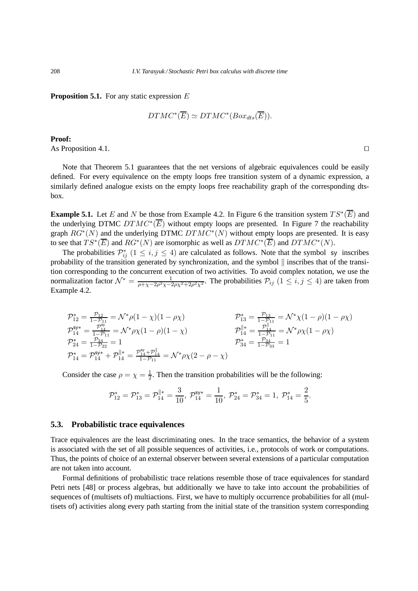**Proposition 5.1.** For any static expression E

$$
DTMC^*(\overline{E}) \simeq DTMC^*(Box_{dts}(\overline{E})).
$$

**Proof:**

As Proposition 4.1. □

Note that Theorem 5.1 guarantees that the net versions of algebraic equivalences could be easily defined. For every equivalence on the empty loops free transition system of a dynamic expression, a similarly defined analogue exists on the empty loops free reachability graph of the corresponding dtsbox.

**Example 5.1.** Let E and N be those from Example 4.2. In Figure 6 the transition system  $TS^*(\overline{E})$  and the underlying DTMC  $DTMC^*(\overline{E})$  without empty loops are presented. In Figure 7 the reachability graph  $RG^*(N)$  and the underlying DTMC  $DTMC^*(N)$  without empty loops are presented. It is easy to see that  $TS^*(\overline{E})$  and  $RG^*(N)$  are isomorphic as well as  $DTMC^*(\overline{E})$  and  $DTMC^*(N)$ .

The probabilities  $\mathcal{P}_{ij}^*$   $(1 \le i, j \le 4)$  are calculated as follows. Note that the symbol sy inscribes probability of the transition generated by synchronization, and the symbol  $\parallel$  inscribes that of the transition corresponding to the concurrent execution of two activities. To avoid complex notation, we use the normalization factor  $\mathcal{N}^* = \frac{1}{a + x - 2a^2x - 4}$  $\frac{1}{\rho + \chi - 2\rho^2 \chi - 2\rho \chi^2 + 2\rho^2 \chi^2}$ . The probabilities  $\mathcal{P}_{ij}$   $(1 \le i, j \le 4)$  are taken from Example 4.2.

$$
\begin{array}{ll}\n\mathcal{P}_{12}^* = \frac{\mathcal{P}_{12}}{1 - \mathcal{P}_{11}} = \mathcal{N}^* \rho (1 - \chi)(1 - \rho \chi) & \mathcal{P}_{13}^* = \frac{\mathcal{P}_{13}}{1 - \mathcal{P}_{11}} = \mathcal{N}^* \chi (1 - \rho)(1 - \rho \chi) \\
\mathcal{P}_{14}^{\mathsf{sy}} = \frac{\mathcal{P}_{14}^{\mathsf{sy}}}{1 - \mathcal{P}_{11}} = \mathcal{N}^* \rho \chi (1 - \rho)(1 - \chi) & \mathcal{P}_{14}^{\parallel \parallel} = \frac{\mathcal{P}_{14}^{\parallel}}{1 - \mathcal{P}_{11}} = \mathcal{N}^* \rho \chi (1 - \rho \chi) \\
\mathcal{P}_{24}^* = \frac{\mathcal{P}_{24}}{1 - \mathcal{P}_{22}} = 1 & \mathcal{P}_{34}^* = \frac{\mathcal{P}_{34}}{1 - \mathcal{P}_{33}} = 1 \\
\mathcal{P}_{14}^* = \mathcal{P}_{14}^{\mathsf{sy}} + \mathcal{P}_{14}^{\parallel \parallel \parallel} = \frac{\mathcal{P}_{14}^{\mathsf{sy}} + \mathcal{P}_{14}^{\parallel}}{1 - \mathcal{P}_{11}} = \mathcal{N}^* \rho \chi (2 - \rho - \chi)\n\end{array}
$$

Consider the case  $\rho = \chi = \frac{1}{2}$  $\frac{1}{2}$ . Then the transition probabilities will be the following:

$$
\mathcal{P}_{12}^* = \mathcal{P}_{13}^* = \mathcal{P}_{14}^{\parallel *} = \frac{3}{10}, \ \mathcal{P}_{14}^{\mathsf{sy}*} = \frac{1}{10}, \ \mathcal{P}_{24}^* = \mathcal{P}_{34}^* = 1, \ \mathcal{P}_{14}^* = \frac{2}{5}.
$$

#### **5.3. Probabilistic trace equivalences**

Trace equivalences are the least discriminating ones. In the trace semantics, the behavior of a system is associated with the set of all possible sequences of activities, i.e., protocols of work or computations. Thus, the points of choice of an external observer between several extensions of a particular computation are not taken into account.

Formal definitions of probabilistic trace relations resemble those of trace equivalences for standard Petri nets [48] or process algebras, but additionally we have to take into account the probabilities of sequences of (multisets of) multiactions. First, we have to multiply occurrence probabilities for all (multisets of) activities along every path starting from the initial state of the transition system corresponding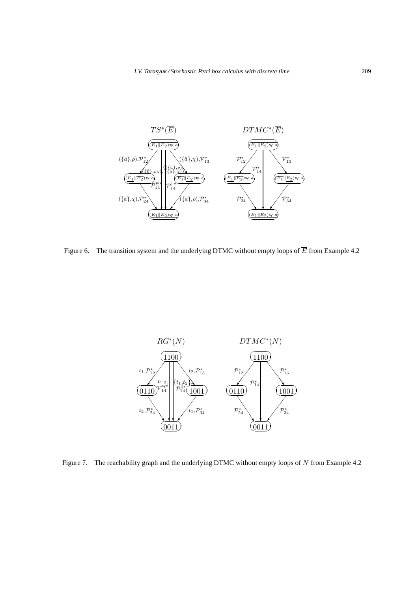

Figure 6. The transition system and the underlying DTMC without empty loops of  $\overline{E}$  from Example 4.2



Figure 7. The reachability graph and the underlying DTMC without empty loops of  $N$  from Example 4.2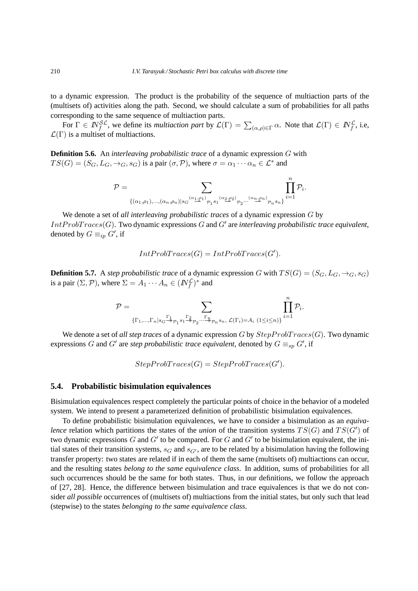to a dynamic expression. The product is the probability of the sequence of multiaction parts of the (multisets of) activities along the path. Second, we should calculate a sum of probabilities for all paths corresponding to the same sequence of multiaction parts.

For  $\Gamma \in \mathbb{N}_{f}^{\mathcal{SL}}$ , we define its *multiaction part* by  $\mathcal{L}(\Gamma) = \sum_{(\alpha,\rho) \in \Gamma} \alpha$ . Note that  $\mathcal{L}(\Gamma) \in \mathbb{N}_{f}^{\mathcal{L}}$ , i.e,  $\mathcal{L}(\Gamma)$  is a multiset of multiactions.

**Definition 5.6.** An *interleaving probabilistic trace* of a dynamic expression G with  $TS(G) = (S_G, L_G, \rightarrow_G, s_G)$  is a pair  $(\sigma, \mathcal{P})$ , where  $\sigma = \alpha_1 \cdots \alpha_n \in \mathcal{L}^*$  and

$$
\mathcal{P}=\sum_{\{(\alpha_1,\rho_1),...,(\alpha_n,\rho_n)\mid s_{G}}\textcolor{black}{(\alpha_1,\beta_1)}\sum_{\mathcal{P}_1 s_{1}}\textcolor{black}{(\alpha_2,\rho_2)}\sum_{\mathcal{P}_2...\textcolor{black}{(\alpha_n,\rho_n)}\mathcal{P}_n s_{n}\}}\prod_{i=1}^n\mathcal{P}_i.
$$

We denote a set of *all interleaving probabilistic traces* of a dynamic expression G by  $IntProofTrace(G)$ . Two dynamic expressions  $G$  and  $G'$  are *interleaving probabilistic trace equivalent*, denoted by  $G \equiv_{ip} G'$ , if

$$
IntProbTraces(G) = IntProbTraces(G').
$$

**Definition 5.7.** A *step probabilistic trace* of a dynamic expression G with  $TS(G) = (S_G, L_G, \rightarrow_G, s_G)$ is a pair  $(\Sigma, \mathcal{P})$ , where  $\Sigma = A_1 \cdots A_n \in (I\!\!N_f^{\mathcal{L}})^*$  and

$$
\mathcal{P} = \sum_{\{\Gamma_1,\ldots,\Gamma_n | s_G \stackrel{\Gamma_1}{\twoheadrightarrow} \mathcal{P}_1} s_1 \stackrel{\Gamma_2}{\twoheadrightarrow} \mathcal{P}_2 \ldots \stackrel{\Gamma_n}{\twoheadrightarrow} \mathcal{P}_n s_n, \, \mathcal{L}(\Gamma_i) = A_i} \prod_{(1 \leq i \leq n)\} \prod_{i=1}^n \mathcal{P}_i.
$$

 $\boldsymbol{n}$ 

We denote a set of *all step traces* of a dynamic expression G by  $StepProbTrace(G)$ . Two dynamic expressions G and G' are *step probabilistic trace equivalent*, denoted by  $G \equiv_{sp} G'$ , if

$$
StepProbTrace(G) = StepProbTrace(G').
$$

#### **5.4. Probabilistic bisimulation equivalences**

Bisimulation equivalences respect completely the particular points of choice in the behavior of a modeled system. We intend to present a parameterized definition of probabilistic bisimulation equivalences.

To define probabilistic bisimulation equivalences, we have to consider a bisimulation as an *equivalence* relation which partitions the states of the *union* of the transition systems  $TS(G)$  and  $TS(G')$  of two dynamic expressions  $G$  and  $G'$  to be compared. For  $G$  and  $G'$  to be bisimulation equivalent, the initial states of their transition systems,  $s_G$  and  $s_{G'}$ , are to be related by a bisimulation having the following transfer property: two states are related if in each of them the same (multisets of) multiactions can occur, and the resulting states *belong to the same equivalence class*. In addition, sums of probabilities for all such occurrences should be the same for both states. Thus, in our definitions, we follow the approach of [27, 28]. Hence, the difference between bisimulation and trace equivalences is that we do not consider *all possible* occurrences of (multisets of) multiactions from the initial states, but only such that lead (stepwise) to the states *belonging to the same equivalence class*.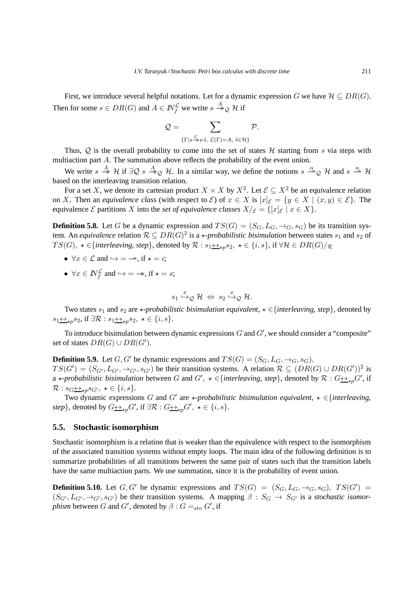First, we introduce several helpful notations. Let for a dynamic expression G we have  $\mathcal{H} \subseteq DR(G)$ . Then for some  $s \in DR(G)$  and  $A \in \mathbb{N}_{f}^{\mathcal{L}}$  we write  $s \stackrel{A}{\rightarrow}_{\mathcal{Q}} \mathcal{H}$  if

$$
\mathcal{Q} = \sum_{\{\Gamma \mid s \stackrel{\Gamma}{\twoheadrightarrow} \mathcal{P}^{\tilde{S}}, \ \mathcal{L}(\Gamma) = A, \ \tilde{s} \in \mathcal{H}\}} \mathcal{P}.
$$

Thus,  $Q$  is the overall probability to come into the set of states  $H$  starting from s via steps with multiaction part A. The summation above reflects the probability of the event union.

We write  $s \stackrel{A}{\to} H$  if  $\exists Q \ s \stackrel{A}{\to}_Q H$ . In a similar way, we define the notions  $s \stackrel{\alpha}{\to}_Q H$  and  $s \stackrel{\alpha}{\to} H$ based on the interleaving transition relation.

For a set X, we denote its cartesian product  $X \times X$  by  $X^2$ . Let  $\mathcal{E} \subseteq X^2$  be an equivalence relation on X. Then an *equivalence class* (with respect to  $\mathcal{E}$ ) of  $x \in X$  is  $[x]_{\mathcal{E}} = \{y \in X \mid (x, y) \in \mathcal{E}\}\)$ . The equivalence  $\mathcal E$  partitions X into the *set of equivalence classes*  $X/\mathcal E = \{ [x]_{\mathcal E} \mid x \in X \}.$ 

**Definition 5.8.** Let G be a dynamic expression and  $TS(G) = (S_G, L_G, \rightarrow_G, s_G)$  be its transition system. An *equivalence* relation  $\mathcal{R} \subseteq DR(G)^2$  is a  $\star$ -probabilistic bisimulation between states  $s_1$  and  $s_2$  of T S(G),  $\star \in \{$ *interleaving, step* $\}$ , denoted by  $\mathcal{R}: s_1 \leftrightarrow_{\star p} s_2$ ,  $\star \in \{i, s\}$ , if  $\forall \mathcal{H} \in DR(G)/\mathcal{R}$ 

- $\forall x \in \mathcal{L}$  and  $\hookrightarrow = \rightarrow$ , if  $\star = i$ ;
- $\forall x \in \mathbb{N}^{\mathcal{L}}_f$  and  $\hookrightarrow = \twoheadrightarrow$ , if  $\star = s$ ;

$$
s_1 \stackrel{x}{\hookrightarrow} _{\mathcal{Q}} \mathcal{H} \Leftrightarrow s_2 \stackrel{x}{\hookrightarrow} _{\mathcal{Q}} \mathcal{H}.
$$

Two states  $s_1$  and  $s_2$  are  $\star$ *-probabilistic bisimulation equivalent*,  $\star \in \{interleaving, step\}$ , denoted by  $s_1 \leftrightarrow_{\star p} s_2$ , if  $\exists \mathcal{R} : s_1 \leftrightarrow_{\star p} s_2, \star \in \{i, s\}.$ 

To introduce bisimulation between dynamic expressions  $G$  and  $G'$ , we should consider a "composite" set of states  $DR(G) \cup DR(G')$ .

**Definition 5.9.** Let G, G' be dynamic expressions and  $TS(G) = (S_G, L_G, \rightarrow_G, s_G)$ ,  $TS(G') = (S_{G'}, L_{G'}, \rightarrow_{G'}, s_{G'})$  be their transition systems. A relation  $\mathcal{R} \subseteq (DR(G) \cup DR(G'))^2$  is a  $\star$ -probabilistic bisimulation between G and  $G'$ ,  $\star \in \{interleaving, step\}$ , denoted by  $\mathcal{R}: G \leftrightarrow_{\star p} G'$ , if  $\mathcal{R}: s_{G} \leftrightarrow_{\star n} s_{G'}$ ,  $\star \in \{i, s\}.$ 

Two dynamic expressions G and G' are  $\star$ *-probabilistic bisimulation equivalent*,  $\star \in$ {*interleaving*, *step*}, denoted by  $G \underline{\leftrightarrow}_{\star p} G'$ , if  $\exists \mathcal{R} : G \underline{\leftrightarrow}_{\star p} G'$ ,  $\star \in \{i, s\}$ .

### **5.5. Stochastic isomorphism**

Stochastic isomorphism is a relation that is weaker than the equivalence with respect to the isomorphism of the associated transition systems without empty loops. The main idea of the following definition is to summarize probabilities of all transitions between the same pair of states such that the transition labels have the same multiaction parts. We use summation, since it is the probability of event union.

**Definition 5.10.** Let  $G, G'$  be dynamic expressions and  $TS(G) = (S_G, L_G, \rightarrow_G, s_G), TS(G') =$  $(S_{G'}, L_{G'}, \rightarrow_{G'}, s_{G'})$  be their transition systems. A mapping  $\beta : S_G \rightarrow S_{G'}$  is a *stochastic isomorphism* between *G* and *G'*, denoted by  $\beta$  :  $G =_{sto} G'$ , if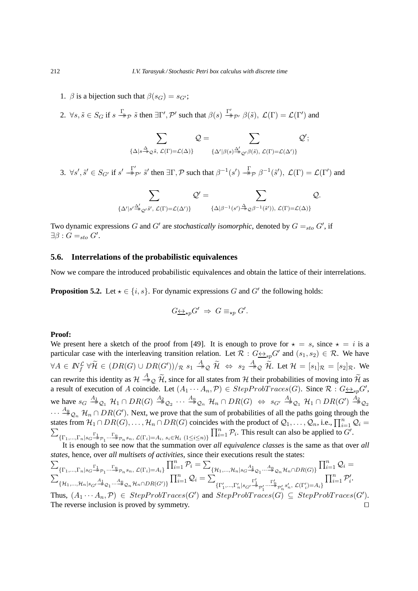- 1.  $\beta$  is a bijection such that  $\beta(s_G) = s_{G'}$ ;
- 2.  $\forall s, \tilde{s} \in S_G$  if  $s \stackrel{\Gamma}{\rightarrow}_{\mathcal{P}} \tilde{s}$  then  $\exists \Gamma', \mathcal{P}'$  such that  $\beta(s) \stackrel{\Gamma'}{\rightarrow}_{\mathcal{P}'} \beta(\tilde{s}), \mathcal{L}(\Gamma) = \mathcal{L}(\Gamma')$  and

$$
\sum_{\{\Delta|s\stackrel{\Delta}{\rightarrow}_{\mathcal{Q}}\tilde{s},\;\mathcal{L}(\Gamma)=\mathcal{L}(\Delta)\}}\mathcal{Q}=\sum_{\{\Delta'|\beta(s)\stackrel{\Delta'}{\rightarrow}_{\mathcal{Q}'}\beta(\tilde{s}),\;\mathcal{L}(\Gamma)=\mathcal{L}(\Delta')\}}\mathcal{Q}';
$$

3.  $\forall s', \tilde{s}' \in S_{G'}$  if  $s' \stackrel{\Gamma'}{\rightarrow} \tilde{s}'$  then  $\exists \Gamma, \mathcal{P}$  such that  $\beta^{-1}(s') \stackrel{\Gamma}{\rightarrow} \beta^{-1}(\tilde{s}')$ ,  $\mathcal{L}(\Gamma) = \mathcal{L}(\Gamma')$  and

$$
\sum_{\{\Delta'|s'\xrightarrow{\Delta'}_{\mathcal{Q}'}\tilde{s}',\;\mathcal{L}(\Gamma)=\mathcal{L}(\Delta')\}}\mathcal{Q}'=\sum_{\{\Delta|\beta^{-1}(s')\xrightarrow{\Delta_{\mathcal{Q}}\beta^{-1}(\tilde{s}')),\;\mathcal{L}(\Gamma)=\mathcal{L}(\Delta)\}}\mathcal{Q}.
$$

Two dynamic expressions G and G' are *stochastically isomorphic*, denoted by  $G =_{sto} G'$ , if  $\exists \beta : G =_{sto} G'.$ 

# **5.6. Interrelations of the probabilistic equivalences**

Now we compare the introduced probabilistic equivalences and obtain the lattice of their interrelations.

**Proposition 5.2.** Let  $\star \in \{i, s\}$ . For dynamic expressions G and G' the following holds:

$$
G\underline{\leftrightarrow}_{\star p} G' \Rightarrow G \equiv_{\star p} G'.
$$

### **Proof:**

We present here a sketch of the proof from [49]. It is enough to prove for  $\star = s$ , since  $\star = i$  is a particular case with the interleaving transition relation. Let  $\mathcal{R}: G \leftrightarrow_{sp} G'$  and  $(s_1, s_2) \in \mathcal{R}$ . We have  $\forall A \in \mathbb{N}_f^{\mathcal{L}} \ \forall \widetilde{\mathcal{H}} \in (DR(G) \cup DR(G'))/_{\mathcal{R}} \ s_1 \stackrel{A}{\rightarrow}_{\mathcal{Q}} \widetilde{\mathcal{H}} \ \Leftrightarrow \ s_2 \stackrel{A}{\rightarrow}_{\mathcal{Q}} \widetilde{\mathcal{H}}.$  Let  $\mathcal{H} = [s_1]_{\mathcal{R}} = [s_2]_{\mathcal{R}}.$  We can rewrite this identity as  $H \xrightarrow{A} Q \widetilde{H}$ , since for all states from H their probabilities of moving into  $\widetilde{H}$  as a result of execution of A coincide. Let  $(A_1 \cdots A_n, \mathcal{P}) \in StepProbTrace(G)$ . Since  $\mathcal{R}: G \rightarrow Sp} G'$ , we have  $s_G \stackrel{A_1}{\twoheadrightarrow} Q_1$   $\mathcal{H}_1 \cap DR(G) \stackrel{A_2}{\twoheadrightarrow} Q_2$   $\cdots \stackrel{A_n}{\twoheadrightarrow} Q_n$   $\mathcal{H}_n \cap DR(G)$   $\Leftrightarrow$   $s_{G'} \stackrel{A_1}{\twoheadrightarrow} Q_1$   $\mathcal{H}_1 \cap DR(G') \stackrel{A_2}{\twoheadrightarrow} Q_2$  $\cdots \stackrel{A_n}{\rightarrow}_{{\cal Q}_n} {\cal H}_n \cap DR(G')$ . Next, we prove that the sum of probabilities of all the paths going through the states from  $H_1 \cap DR(G), \ldots, H_n \cap DR(G)$  coincides with the product of  $\mathcal{Q}_1, \ldots, \mathcal{Q}_n$ , i.e.,  $\prod_{i=1}^n \mathcal{Q}_i =$  $\sum$  $\{\Gamma_1,...,\Gamma_n | s_G \stackrel{\Gamma_1}{\rightarrow} \varphi_1 \cdots \stackrel{\Gamma_n}{\rightarrow} \varphi_n s_n, \mathcal{L}(\Gamma_i)=A_i, s_i \in \mathcal{H}_i \ (1 \leq i \leq n)\}\$  $\prod_{i=1}^n \mathcal{P}_i$ . This result can also be applied to  $G'$ .

It is enough to see now that the summation over *all equivalence classes* is the same as that over *all states* , hence, over *all multisets of activities*, since their executions result the states:

$$
\sum_{\{\Gamma_1,\ldots,\Gamma_n\mid s_G\stackrel{\Gamma_1}{\twoheadrightarrow} p_1\ldots\stackrel{\Gamma_n}{\twoheadrightarrow} p_n s_n, \mathcal{L}(\Gamma_i)=A_i\}} \prod_{i=1}^n \mathcal{P}_i = \sum_{\{\mathcal{H}_1,\ldots,\mathcal{H}_n\mid s_G\stackrel{\mathcal{A}_1}{\twoheadrightarrow} \mathcal{Q}_1\ldots\stackrel{\mathcal{A}_n}{\twoheadrightarrow} \mathcal{Q}_n \mathcal{H}_n \cap DR(G)\}} \prod_{i=1}^n \mathcal{Q}_i = \sum_{\{\Gamma'_1,\ldots,\Gamma'_n\mid s_G\stackrel{\mathcal{A}_1}{\twoheadrightarrow} p_1\ldots\stackrel{\Gamma'_n}{\twoheadrightarrow} p'_n s'_n, \mathcal{L}(\Gamma'_i)=A_i\}} \prod_{i=1}^n \mathcal{P}'_i.
$$
\nThus, (4, 4, 7)  $\in$  Star-DuMTransc(G') and Stu-DuMTransc(G')  $\in$  StuDuMTransc(G').

Thus,  $(A_1 \cdots A_n, \mathcal{P}) \in StepProbTrace(G')$  and  $StepProbTrace(G) \subseteq StepProbTrace(G').$ The reverse inclusion is proved by symmetry. □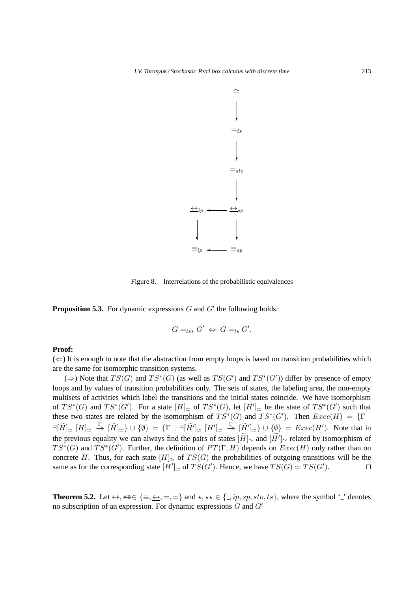

Figure 8. Interrelations of the probabilistic equivalences

**Proposition 5.3.** For dynamic expressions  $G$  and  $G'$  the following holds:

$$
G =_{ts*} G' \Leftrightarrow G =_{ts} G'.
$$

## **Proof:**

 $(\Leftarrow)$  It is enough to note that the abstraction from empty loops is based on transition probabilities which are the same for isomorphic transition systems.

(⇒) Note that  $TS(G)$  and  $TS^*(G)$  (as well as  $TS(G')$  and  $TS^*(G')$ ) differ by presence of empty loops and by values of transition probabilities only. The sets of states, the labeling area, the non-empty multisets of activities which label the transitions and the initial states coincide. We have isomorphism of  $TS^*(G)$  and  $TS^*(G')$ . For a state  $[H]_{\simeq}$  of  $TS^*(G)$ , let  $[H']_{\simeq}$  be the state of  $TS^*(G')$  such that these two states are related by the isomorphism of  $TS^*(G)$  and  $TS^*(G')$ . Then  $Exec(H) = \{\Gamma \mid$  $\exists [\widetilde{H}]_{\simeq}\;$   $[H]_{\simeq}\;$   $\{X\}\;$   $\{[\widetilde{W}']_{\simeq}\;$   $[H']_{\simeq}\;$   $[H']_{\simeq}\;$   $\{X\}\;$   $\{[\widetilde{W}']_{\simeq}\}$   $\cup$   $\{0\}\;$  =  $\emph{Exec}(H')$ . Note that in the previous equality we can always find the pairs of states  $[H]_{\simeq}$  and  $[H']_{\simeq}$  related by isomorphism of  $TS^*(G)$  and  $TS^*(G')$ . Further, the definition of  $PT(\Gamma, H)$  depends on  $Exec(H)$  only rather than on concrete H. Thus, for each state  $[H]_{\simeq}$  of  $TS(G)$  the probabilities of outgoing transitions will be the same as for the corresponding state  $[H']_{\simeq}$  of  $TS(G')$ . Hence, we have  $TS(G) \simeq TS(G')$  $\Box$ 

**Theorem 5.2.** Let  $\leftrightarrow$ ,  $\ast\ast \in \{\equiv, \leftrightarrow, =, \simeq\}$  and  $\star$ ,  $\star\star \in \{\equiv, ip, sp, sto, ts\}$ , where the symbol '\_' denotes no subscription of an expression. For dynamic expressions G and G′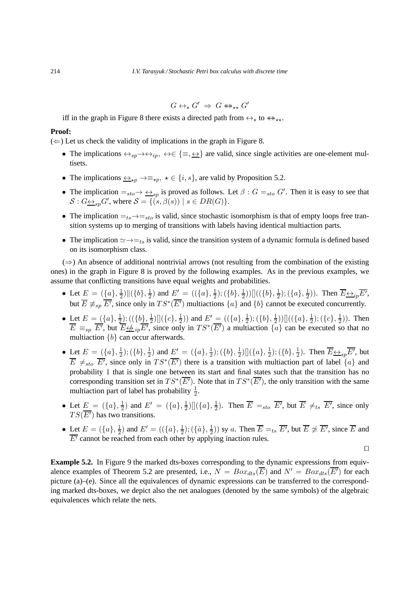$$
G \leftrightarrow_{\star} G' \Rightarrow G \leftrightarrow_{\star \star} G'
$$

iff in the graph in Figure 8 there exists a directed path from  $\leftrightarrow_{\star}$  to  $\leftrightarrow_{\star\star}$ .

#### **Proof:**

 $(\Leftarrow)$  Let us check the validity of implications in the graph in Figure 8.

- The implications  $\leftrightarrow_{sp} \rightarrow \leftrightarrow_{ip}, \leftrightarrow \in \{\equiv, \leftrightarrow\}$  are valid, since single activities are one-element multisets.
- The implications  $\xrightarrow{\leftrightarrow}_{\star p} \rightarrow \equiv_{\star p}, \star \in \{i, s\}$ , are valid by Proposition 5.2.
- The implication  $=_{sto} \rightarrow \frac{\leftrightarrow_{sp}}{sp}$  is proved as follows. Let  $\beta : G =_{sto} G'$ . Then it is easy to see that  $S: G_{\frac{\leftrightarrow}{\longrightarrow}g}G'$ , where  $S = \{ (s, \beta(s)) \mid s \in DR(G) \}.$
- The implication  $=t_s\rightarrow t_{sto}$  is valid, since stochastic isomorphism is that of empty loops free transition systems up to merging of transitions with labels having identical multiaction parts.
- The implication  $\simeq \rightarrow =_{ts}$  is valid, since the transition system of a dynamic formula is defined based on its isomorphism class.

 $(\Rightarrow)$  An absence of additional nontrivial arrows (not resulting from the combination of the existing ones) in the graph in Figure 8 is proved by the following examples. As in the previous examples, we assume that conflicting transitions have equal weights and probabilities.

- Let  $E = (\{a\}, \frac{1}{2})$  $\frac{1}{2}) \| (\{b\},\frac{1}{2})$  $(\frac{1}{2})$  and  $E' = ((\{a\}, \frac{1}{2})$  $(\{b\},\frac{1}{2})$  $(\frac{1}{2}))\[(\{\{b\},\frac{1}{2})\}$  $(\{a\},\frac{1}{2})$  $(\frac{1}{2})$ ). Then  $\overline{E} \overline{\leftrightarrow}_{ip} \overline{E'}$ , but  $\overline{E} \not\equiv_{sp} \overline{E'}$ , since only in  $TS^*(\overline{E'})$  multiactions  $\{a\}$  and  $\{b\}$  cannot be executed concurrently.
- Let  $E = (\{a\}, \frac{1}{2})$  $(\{\underline{b}\},\frac{1}{2})$  $\frac{1}{2}) [](c, \frac{1}{2})$  $(\frac{1}{2})$ ) and  $E' = ((\{a\}, \frac{1}{2})$  $(\{b\},\frac{1}{2})$  $(\{a\},\frac{1}{2})$  $(\c), \frac{1}{2})$  $(\frac{1}{2})$ ). Then  $\overline{E} \equiv_{sp} \overline{E'}$ , but  $\overline{E} \not\leftrightarrow_{ip} \overline{E'}$ , since only in  $TS^*(\overline{E'})$  a multiaction  $\{a\}$  can be executed so that no multiaction  ${b}$  can occur afterwards.
- Let  $E = (\{a\}, \frac{1}{2})$  $(\{b\},\frac{1}{2})$  $(\frac{1}{2})$  and  $E' = (\{a\}, \frac{1}{2})$  $\frac{1}{2}); (\{b\},\frac{1}{2}$  $\frac{1}{2}) [](\{a\},\frac{1}{2})$  $(\{b\},\frac{1}{2})$  $(\frac{1}{2})$ . Then  $\overline{E} \leftrightarrow_{sp} \overline{E'}$ , but  $\overline{E} \neq_{sto} \overline{E'}$ , since only in  $TS^*(\overline{E'})$  there is a transition with multiaction part of label  $\{a\}$  and probability 1 that is single one between its start and final states such that the transition has no corresponding transition set in  $TS^*(\overline{E'})$ . Note that in  $TS^*(\overline{E'})$ , the only transition with the same multiaction part of label has probability  $\frac{1}{2}$ .
- Let  $E = (\{a\}, \frac{1}{2})$  $(\frac{1}{2})$  and  $E' = (\{a\}, \frac{1}{2})$  $\frac{1}{2}) [](a\}, \frac{1}{2})$  $\frac{1}{2}$ ). Then  $\overline{E} =_{sto} \overline{E'}$ , but  $\overline{E} \neq_{ts} \overline{E'}$ , since only  $TS(\overline{E'})$  has two transitions.
- Let  $E = (\{a\}, \frac{1}{2})$  $(\frac{1}{2})$  and  $E' = ((\{a\}, \frac{1}{2})$  $(\{\hat{a}\},\frac{1}{2})$  $(\frac{1}{2})$  sy a. Then  $\overline{E} =_{ts} \overline{E'}$ , but  $\overline{E} \not\approx \overline{E'}$ , since  $\overline{E}$  and  $\overline{E'}$  cannot be reached from each other by applying inaction rules.

⊓⊔

**Example 5.2.** In Figure 9 the marked dts-boxes corresponding to the dynamic expressions from equivalence examples of Theorem 5.2 are presented, i.e.,  $N = Box_{dts}(\overline{E})$  and  $N' = Box_{dts}(\overline{E'})$  for each picture (a)–(e). Since all the equivalences of dynamic expressions can be transferred to the corresponding marked dts-boxes, we depict also the net analogues (denoted by the same symbols) of the algebraic equivalences which relate the nets.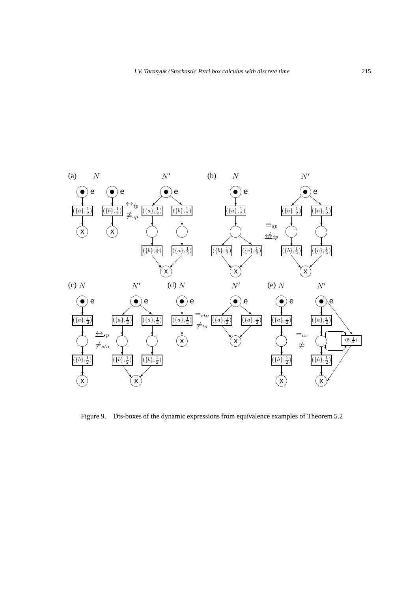

Figure 9. Dts-boxes of the dynamic expressions from equivalence examples of Theorem 5.2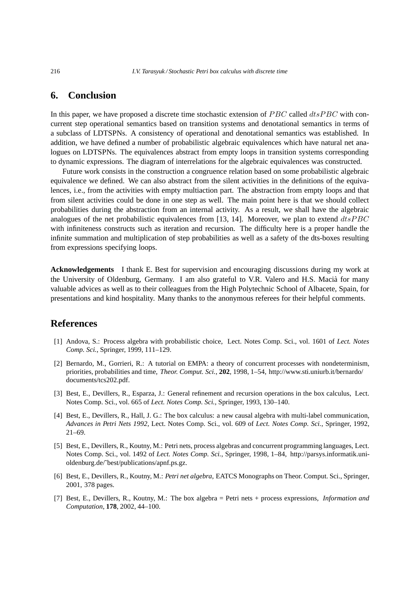# **6. Conclusion**

In this paper, we have proposed a discrete time stochastic extension of  $PBC$  called  $dtsPBC$  with concurrent step operational semantics based on transition systems and denotational semantics in terms of a subclass of LDTSPNs. A consistency of operational and denotational semantics was established. In addition, we have defined a number of probabilistic algebraic equivalences which have natural net analogues on LDTSPNs. The equivalences abstract from empty loops in transition systems corresponding to dynamic expressions. The diagram of interrelations for the algebraic equivalences was constructed.

Future work consists in the construction a congruence relation based on some probabilistic algebraic equivalence we defined. We can also abstract from the silent activities in the definitions of the equivalences, i.e., from the activities with empty multiaction part. The abstraction from empty loops and that from silent activities could be done in one step as well. The main point here is that we should collect probabilities during the abstraction from an internal activity. As a result, we shall have the algebraic analogues of the net probabilistic equivalences from [13, 14]. Moreover, we plan to extend  $dtsPBC$ with infiniteness constructs such as iteration and recursion. The difficulty here is a proper handle the infinite summation and multiplication of step probabilities as well as a safety of the dts-boxes resulting from expressions specifying loops.

**Acknowledgements** I thank E. Best for supervision and encouraging discussions during my work at the University of Oldenburg, Germany. I am also grateful to V.R. Valero and H.S. Macià for many valuable advices as well as to their colleagues from the High Polytechnic School of Albacete, Spain, for presentations and kind hospitality. Many thanks to the anonymous referees for their helpful comments.

# **References**

- [1] Andova, S.: Process algebra with probabilistic choice, Lect. Notes Comp. Sci., vol. 1601 of *Lect. Notes Comp. Sci.*, Springer, 1999, 111–129.
- [2] Bernardo, M., Gorrieri, R.: A tutorial on EMPA: a theory of concurrent processes with nondeterminism, priorities, probabilities and time, *Theor. Comput. Sci.*, **202**, 1998, 1–54, http://www.sti.uniurb.it/bernardo/ documents/tcs202.pdf.
- [3] Best, E., Devillers, R., Esparza, J.: General refinement and recursion operations in the box calculus, Lect. Notes Comp. Sci., vol. 665 of *Lect. Notes Comp. Sci.*, Springer, 1993, 130–140.
- [4] Best, E., Devillers, R., Hall, J. G.: The box calculus: a new causal algebra with multi-label communication, *Advances in Petri Nets 1992*, Lect. Notes Comp. Sci., vol. 609 of *Lect. Notes Comp. Sci.*, Springer, 1992, 21–69.
- [5] Best, E., Devillers, R., Koutny, M.: Petri nets, process algebras and concurrent programming languages, Lect. Notes Comp. Sci., vol. 1492 of *Lect. Notes Comp. Sci.*, Springer, 1998, 1–84, http://parsys.informatik.unioldenburg.de/˜best/publications/apnf.ps.gz.
- [6] Best, E., Devillers, R., Koutny, M.: *Petri net algebra*, EATCS Monographs on Theor. Comput. Sci., Springer, 2001, 378 pages.
- [7] Best, E., Devillers, R., Koutny, M.: The box algebra = Petri nets + process expressions, *Information and Computation*, **178**, 2002, 44–100.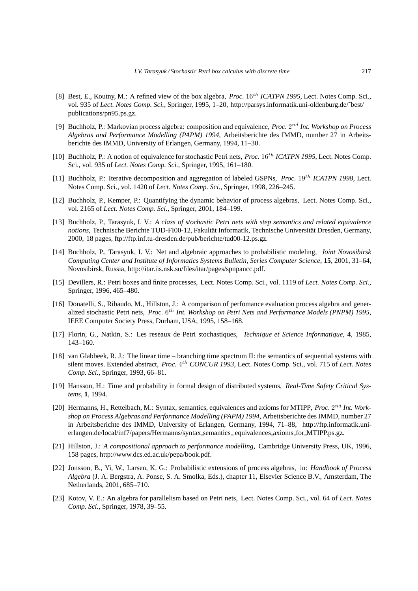- [8] Best, E., Koutny, M.: A refined view of the box algebra, *Proc.* 16th *ICATPN 1995*, Lect. Notes Comp. Sci., vol. 935 of *Lect. Notes Comp. Sci.*, Springer, 1995, 1–20, http://parsys.informatik.uni-oldenburg.de/~best/ publications/pn95.ps.gz.
- [9] Buchholz, P.: Markovian process algebra: composition and equivalence, *Proc.* 2<sup>nd</sup> Int. Workshop on Process *Algebras and Performance Modelling (PAPM) 1994*, Arbeitsberichte des IMMD, number 27 in Arbeitsberichte des IMMD, University of Erlangen, Germany, 1994, 11–30.
- [10] Buchholz, P.: A notion of equivalence for stochastic Petri nets, *Proc.* 16<sup>th</sup> *ICATPN 1995*, Lect. Notes Comp. Sci., vol. 935 of *Lect. Notes Comp. Sci.*, Springer, 1995, 161–180.
- [11] Buchholz, P.: Iterative decomposition and aggregation of labeled GSPNs, *Proc.* 19<sup>th</sup> *ICATPN 1998*, Lect. Notes Comp. Sci., vol. 1420 of *Lect. Notes Comp. Sci.*, Springer, 1998, 226–245.
- [12] Buchholz, P., Kemper, P.: Quantifying the dynamic behavior of process algebras, Lect. Notes Comp. Sci., vol. 2165 of *Lect. Notes Comp. Sci.*, Springer, 2001, 184–199.
- [13] Buchholz, P., Tarasyuk, I. V.: *A class of stochastic Petri nets with step semantics and related equivalence notions*, Technische Berichte TUD-FI00-12, Fakultät Informatik, Technische Universität Dresden, Germany, 2000, 18 pages, ftp://ftp.inf.tu-dresden.de/pub/berichte/tud00-12.ps.gz.
- [14] Buchholz, P., Tarasyuk, I. V.: Net and algebraic approaches to probabilistic modeling, *Joint Novosibirsk Computing Center and Institute of Informatics Systems Bulletin, Series Computer Science*, **15**, 2001, 31–64, Novosibirsk, Russia, http://itar.iis.nsk.su/files/itar/pages/spnpancc.pdf.
- [15] Devillers, R.: Petri boxes and finite processes, Lect. Notes Comp. Sci., vol. 1119 of *Lect. Notes Comp. Sci.*, Springer, 1996, 465–480.
- [16] Donatelli, S., Ribaudo, M., Hillston, J.: A comparison of perfomance evaluation process algebra and generalized stochastic Petri nets, *Proc.* 6<sup>th</sup> Int. Workshop on Petri Nets and Performance Models (PNPM) 1995, IEEE Computer Society Press, Durham, USA, 1995, 158–168.
- [17] Florin, G., Natkin, S.: Les reseaux de Petri stochastiques, *Technique et Science Informatique*, **4**, 1985, 143–160.
- [18] van Glabbeek, R. J.: The linear time branching time spectrum II: the semantics of sequential systems with silent moves. Extended abstract, *Proc.* 4 th *CONCUR 1993*, Lect. Notes Comp. Sci., vol. 715 of *Lect. Notes Comp. Sci.*, Springer, 1993, 66–81.
- [19] Hansson, H.: Time and probability in formal design of distributed systems, *Real-Time Safety Critical Systems*, **1**, 1994.
- [20] Hermanns, H., Rettelbach, M.: Syntax, semantics, equivalences and axioms for MTIPP, *Proc.* 2<sup>nd</sup> Int. Work*shop on Process Algebras and Performance Modelling (PAPM) 1994*, Arbeitsberichte des IMMD, number 27 in Arbeitsberichte des IMMD, University of Erlangen, Germany, 1994, 71–88, http://ftp.informatik.unierlangen.de/local/inf7/papers/Hermanns/syntax semantics equivalences axioms for MTIPP.ps.gz.
- [21] Hillston, J.: *A compositional approach to performance modelling*, Cambridge University Press, UK, 1996, 158 pages, http://www.dcs.ed.ac.uk/pepa/book.pdf.
- [22] Jonsson, B., Yi, W., Larsen, K. G.: Probabilistic extensions of process algebras, in: *Handbook of Process Algebra* (J. A. Bergstra, A. Ponse, S. A. Smolka, Eds.), chapter 11, Elsevier Science B.V., Amsterdam, The Netherlands, 2001, 685–710.
- [23] Kotov, V. E.: An algebra for parallelism based on Petri nets, Lect. Notes Comp. Sci., vol. 64 of *Lect. Notes Comp. Sci.*, Springer, 1978, 39–55.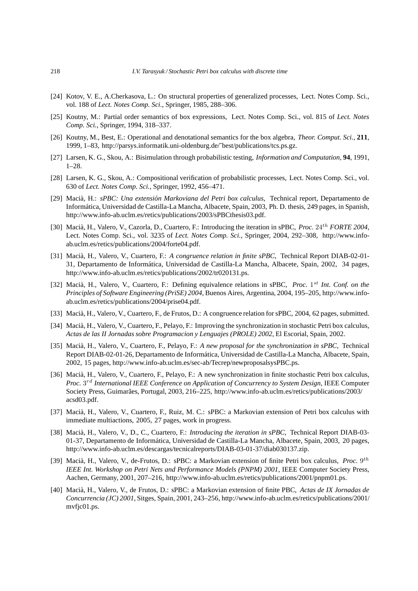- [24] Kotov, V. E., A.Cherkasova, L.: On structural properties of generalized processes, Lect. Notes Comp. Sci., vol. 188 of *Lect. Notes Comp. Sci.*, Springer, 1985, 288–306.
- [25] Koutny, M.: Partial order semantics of box expressions, Lect. Notes Comp. Sci., vol. 815 of *Lect. Notes Comp. Sci.*, Springer, 1994, 318–337.
- [26] Koutny, M., Best, E.: Operational and denotational semantics for the box algebra, *Theor. Comput. Sci.*, **211**, 1999, 1–83, http://parsys.informatik.uni-oldenburg.de/˜best/publications/tcs.ps.gz.
- [27] Larsen, K. G., Skou, A.: Bisimulation through probabilistic testing, *Information and Computation*, **94**, 1991, 1–28.
- [28] Larsen, K. G., Skou, A.: Compositional verification of probabilistic processes, Lect. Notes Comp. Sci., vol. 630 of *Lect. Notes Comp. Sci.*, Springer, 1992, 456–471.
- [29] Macià, H.: *sPBC: Una extensión Markoviana del Petri box calculus*, Technical report, Departamento de Inform´atica, Universidad de Castilla-La Mancha, Albacete, Spain, 2003, Ph. D. thesis, 249 pages, in Spanish, http://www.info-ab.uclm.es/retics/publications/2003/sPBCthesis03.pdf.
- [30] Macià, H., Valero, V., Cazorla, D., Cuartero, F.: Introducing the iteration in sPBC, *Proc.* 24<sup>th</sup> *FORTE* 2004, Lect. Notes Comp. Sci., vol. 3235 of *Lect. Notes Comp. Sci.*, Springer, 2004, 292–308, http://www.infoab.uclm.es/retics/publications/2004/forte04.pdf.
- [31] Maci`a, H., Valero, V., Cuartero, F.: *A congruence relation in finite sPBC*, Technical Report DIAB-02-01- 31, Departamento de Informática, Universidad de Castilla-La Mancha, Albacete, Spain, 2002, 34 pages, http://www.info-ab.uclm.es/retics/publications/2002/tr020131.ps.
- [32] Macià, H., Valero, V., Cuartero, F.: Defining equivalence relations in sPBC, *Proc.* 1<sup>st</sup> Int. Conf. on the *Principles of Software Engineering (PriSE) 2004*, Buenos Aires, Argentina, 2004, 195–205, http://www.infoab.uclm.es/retics/publications/2004/prise04.pdf.
- [33] Macià, H., Valero, V., Cuartero, F., de Frutos, D.: A congruence relation for sPBC, 2004, 62 pages, submitted.
- [34] Macià, H., Valero, V., Cuartero, F., Pelayo, F.: Improving the synchronization in stochastic Petri box calculus, *Actas de las II Jornadas sobre Programacion y Lenguajes (PROLE) 2002*, El Escorial, Spain, 2002.
- [35] Macià, H., Valero, V., Cuartero, F., Pelayo, F.: *A new proposal for the synchronization in sPBC*, Technical Report DIAB-02-01-26, Departamento de Informática, Universidad de Castilla-La Mancha, Albacete, Spain, 2002, 15 pages, http://www.info-ab.uclm.es/sec-ab/Tecrep/newproposalsysPBC.ps.
- [36] Macià, H., Valero, V., Cuartero, F., Pelayo, F.: A new synchronization in finite stochastic Petri box calculus, *Proc.* 3 rd *International IEEE Conference on Application of Concurrency to System Design*, IEEE Computer Society Press, Guimarães, Portugal, 2003, 216–225, http://www.info-ab.uclm.es/retics/publications/2003/ acsd03.pdf.
- [37] Macià, H., Valero, V., Cuartero, F., Ruiz, M. C.: sPBC: a Markovian extension of Petri box calculus with immediate multiactions, 2005, 27 pages, work in progress.
- [38] Macià, H., Valero, V., D., C., Cuartero, F.: *Introducing the iteration in sPBC*, Technical Report DIAB-03-01-37, Departamento de Informática, Universidad de Castilla-La Mancha, Albacete, Spain, 2003, 20 pages, http://www.info-ab.uclm.es/descargas/tecnicalreports/DIAB-03-01-37/diab030137.zip.
- [39] Macià, H., Valero, V., de-Frutos, D.: sPBC: a Markovian extension of finite Petri box calculus, *Proc.* 9<sup>th</sup> *IEEE Int. Workshop on Petri Nets and Performance Models (PNPM) 2001*, IEEE Computer Society Press, Aachen, Germany, 2001, 207–216, http://www.info-ab.uclm.es/retics/publications/2001/pnpm01.ps.
- [40] Maci`a, H., Valero, V., de Frutos, D.: sPBC: a Markovian extension of finite PBC, *Actas de IX Jornadas de Concurrencia (JC) 2001*, Sitges, Spain, 2001, 243–256, http://www.info-ab.uclm.es/retics/publications/2001/ mvfjc01.ps.